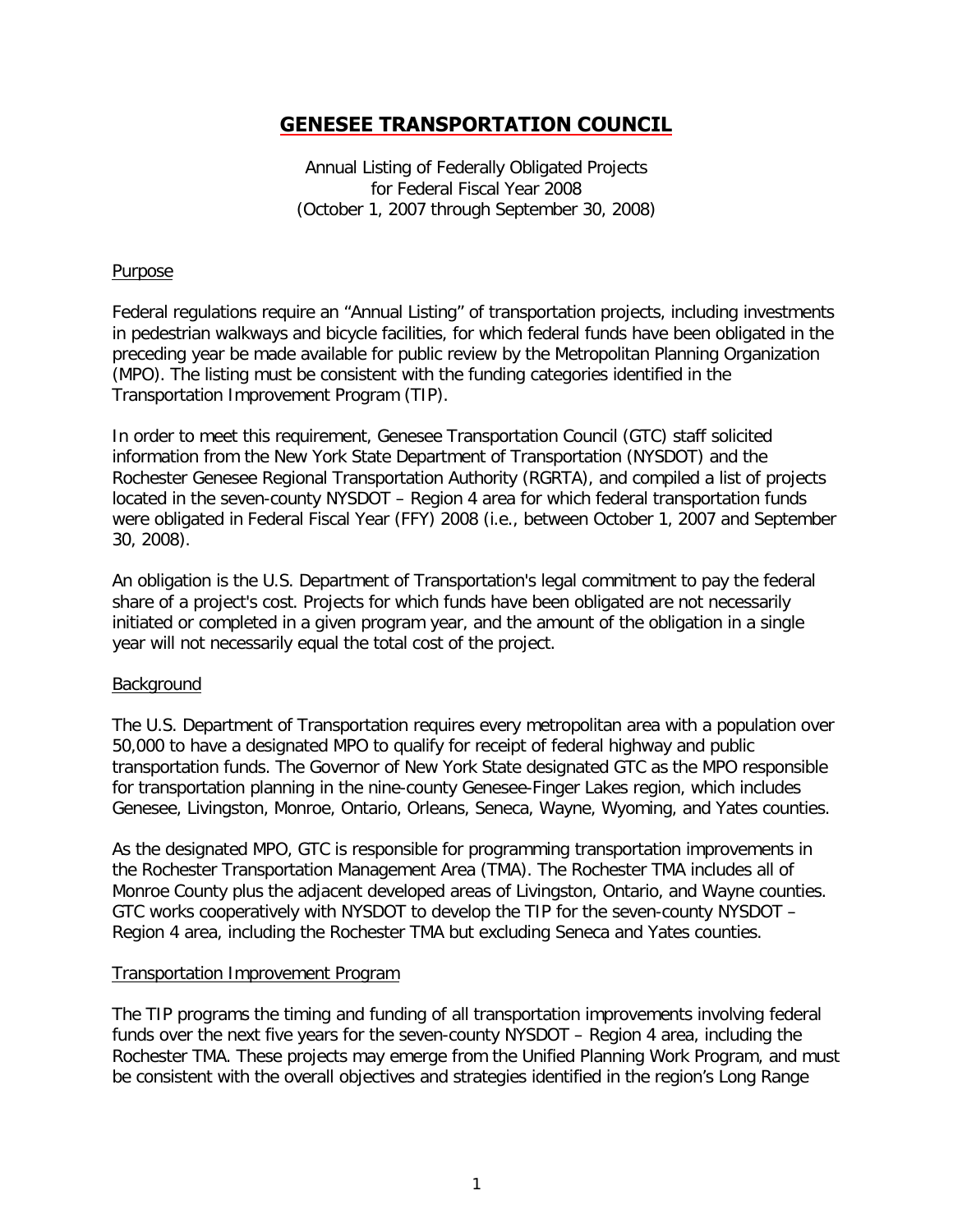# **GENESEE TRANSPORTATION COUNCIL**

Annual Listing of Federally Obligated Projects for Federal Fiscal Year 2008 (October 1, 2007 through September 30, 2008)

### **Purpose**

Federal regulations require an "Annual Listing" of transportation projects, including investments in pedestrian walkways and bicycle facilities, for which federal funds have been obligated in the preceding year be made available for public review by the Metropolitan Planning Organization (MPO). The listing must be consistent with the funding categories identified in the Transportation Improvement Program (TIP).

In order to meet this requirement, Genesee Transportation Council (GTC) staff solicited information from the New York State Department of Transportation (NYSDOT) and the Rochester Genesee Regional Transportation Authority (RGRTA), and compiled a list of projects located in the seven-county NYSDOT – Region 4 area for which federal transportation funds were obligated in Federal Fiscal Year (FFY) 2008 (i.e., between October 1, 2007 and September 30, 2008).

An obligation is the U.S. Department of Transportation's legal commitment to pay the federal share of a project's cost. Projects for which funds have been obligated are not necessarily initiated or completed in a given program year, and the amount of the obligation in a single year will not necessarily equal the total cost of the project.

### **Background**

The U.S. Department of Transportation requires every metropolitan area with a population over 50,000 to have a designated MPO to qualify for receipt of federal highway and public transportation funds. The Governor of New York State designated GTC as the MPO responsible for transportation planning in the nine-county Genesee-Finger Lakes region, which includes Genesee, Livingston, Monroe, Ontario, Orleans, Seneca, Wayne, Wyoming, and Yates counties.

As the designated MPO, GTC is responsible for programming transportation improvements in the Rochester Transportation Management Area (TMA). The Rochester TMA includes all of Monroe County plus the adjacent developed areas of Livingston, Ontario, and Wayne counties. GTC works cooperatively with NYSDOT to develop the TIP for the seven-county NYSDOT – Region 4 area, including the Rochester TMA but excluding Seneca and Yates counties.

### Transportation Improvement Program

The TIP programs the timing and funding of all transportation improvements involving federal funds over the next five years for the seven-county NYSDOT – Region 4 area, including the Rochester TMA. These projects may emerge from the Unified Planning Work Program, and must be consistent with the overall objectives and strategies identified in the region's Long Range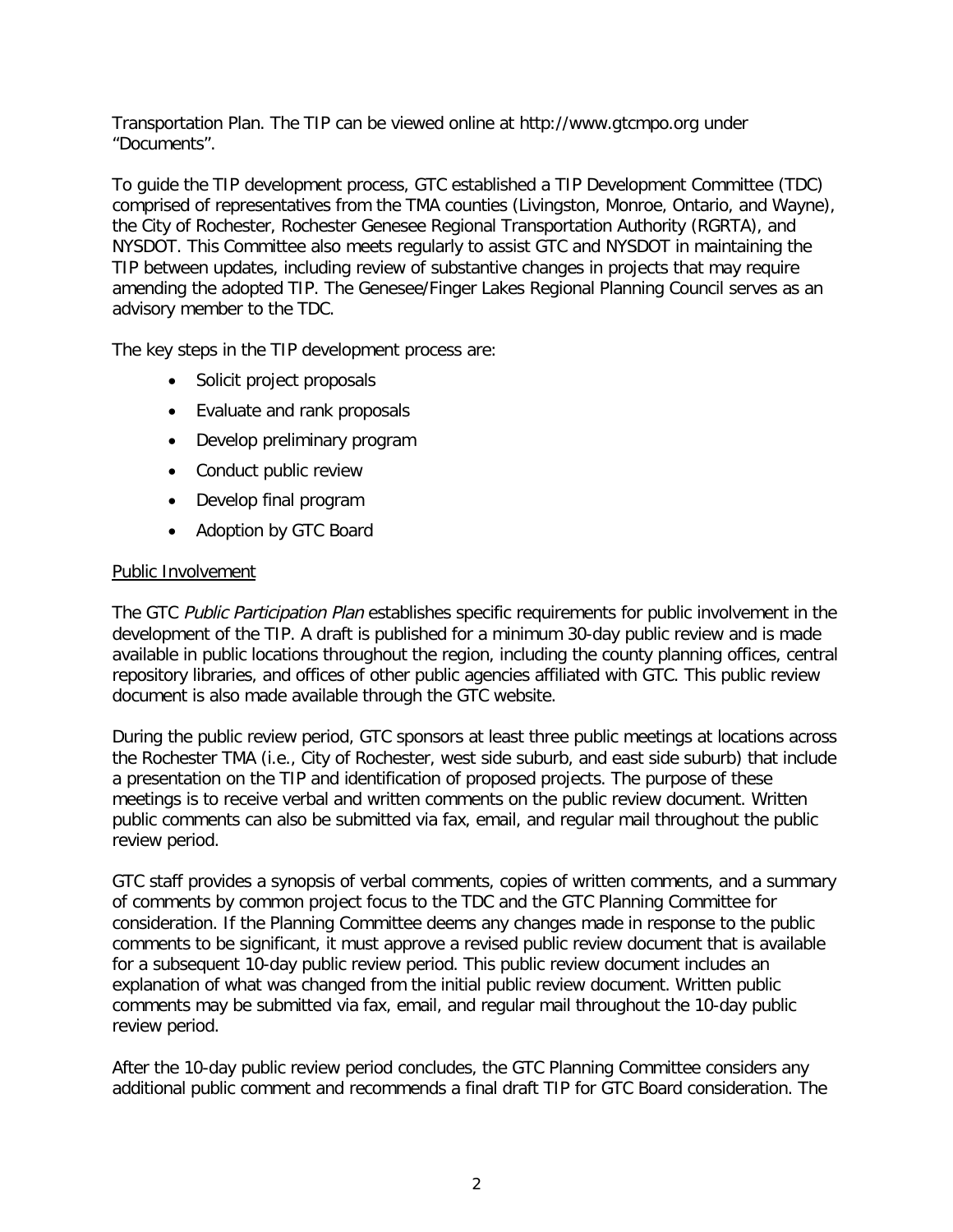Transportation Plan. The TIP can be viewed online at http://www.gtcmpo.org under "Documents".

To guide the TIP development process, GTC established a TIP Development Committee (TDC) comprised of representatives from the TMA counties (Livingston, Monroe, Ontario, and Wayne), the City of Rochester, Rochester Genesee Regional Transportation Authority (RGRTA), and NYSDOT. This Committee also meets regularly to assist GTC and NYSDOT in maintaining the TIP between updates, including review of substantive changes in projects that may require amending the adopted TIP. The Genesee/Finger Lakes Regional Planning Council serves as an advisory member to the TDC.

The key steps in the TIP development process are:

- Solicit project proposals
- Evaluate and rank proposals
- Develop preliminary program
- Conduct public review
- Develop final program
- Adoption by GTC Board

### Public Involvement

The GTC Public Participation Plan establishes specific requirements for public involvement in the development of the TIP. A draft is published for a minimum 30-day public review and is made available in public locations throughout the region, including the county planning offices, central repository libraries, and offices of other public agencies affiliated with GTC. This public review document is also made available through the GTC website.

During the public review period, GTC sponsors at least three public meetings at locations across the Rochester TMA (i.e., City of Rochester, west side suburb, and east side suburb) that include a presentation on the TIP and identification of proposed projects. The purpose of these meetings is to receive verbal and written comments on the public review document. Written public comments can also be submitted via fax, email, and regular mail throughout the public review period.

GTC staff provides a synopsis of verbal comments, copies of written comments, and a summary of comments by common project focus to the TDC and the GTC Planning Committee for consideration. If the Planning Committee deems any changes made in response to the public comments to be significant, it must approve a revised public review document that is available for a subsequent 10-day public review period. This public review document includes an explanation of what was changed from the initial public review document. Written public comments may be submitted via fax, email, and regular mail throughout the 10-day public review period.

After the 10-day public review period concludes, the GTC Planning Committee considers any additional public comment and recommends a final draft TIP for GTC Board consideration. The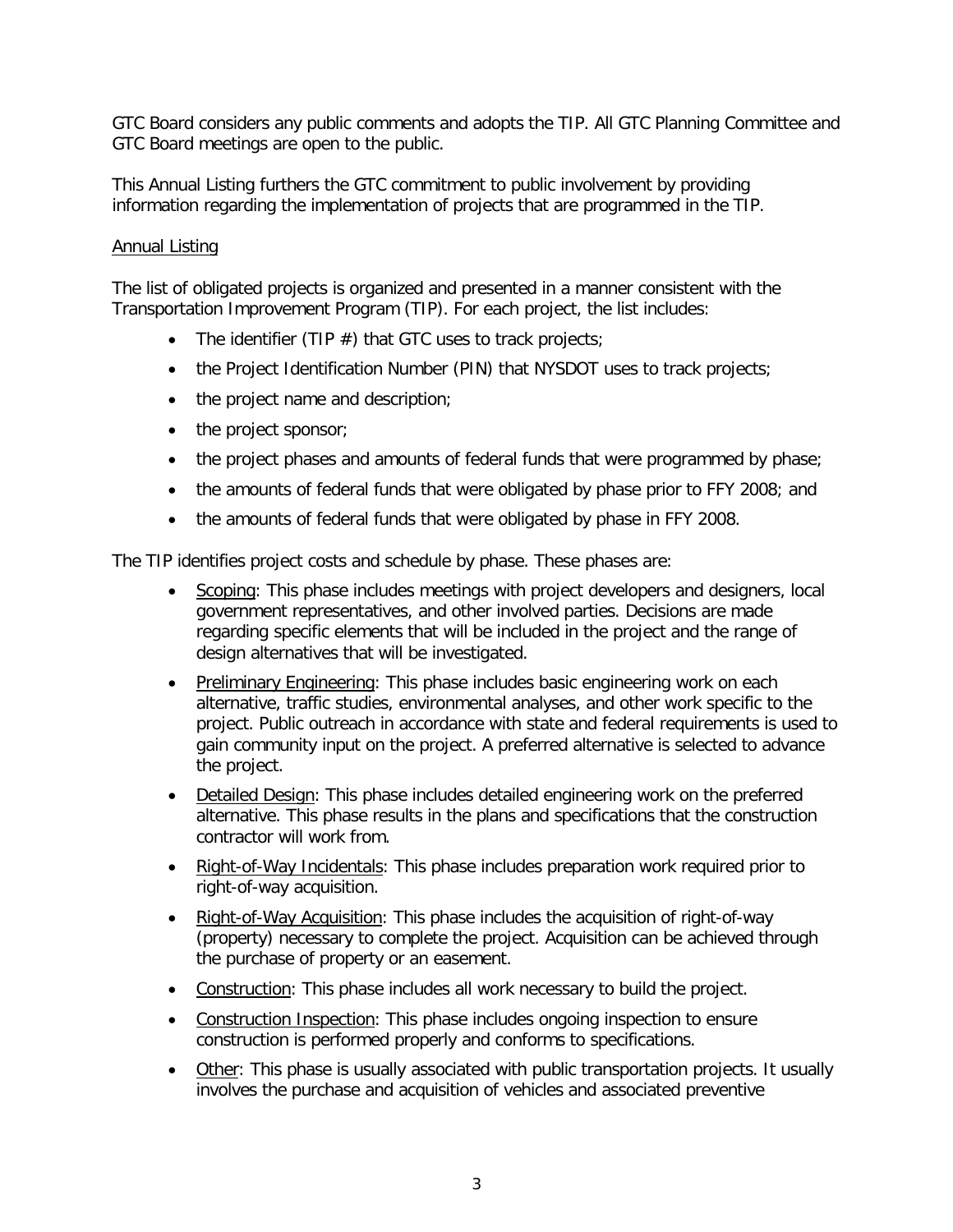GTC Board considers any public comments and adopts the TIP. All GTC Planning Committee and GTC Board meetings are open to the public.

This Annual Listing furthers the GTC commitment to public involvement by providing information regarding the implementation of projects that are programmed in the TIP.

## Annual Listing

The list of obligated projects is organized and presented in a manner consistent with the Transportation Improvement Program (TIP). For each project, the list includes:

- The identifier (TIP  $#$ ) that GTC uses to track projects;
- the Project Identification Number (PIN) that NYSDOT uses to track projects;
- the project name and description;
- the project sponsor;
- the project phases and amounts of federal funds that were programmed by phase;
- the amounts of federal funds that were obligated by phase prior to FFY 2008; and
- the amounts of federal funds that were obligated by phase in FFY 2008.

The TIP identifies project costs and schedule by phase. These phases are:

- Scoping: This phase includes meetings with project developers and designers, local government representatives, and other involved parties. Decisions are made regarding specific elements that will be included in the project and the range of design alternatives that will be investigated.
- Preliminary Engineering: This phase includes basic engineering work on each alternative, traffic studies, environmental analyses, and other work specific to the project. Public outreach in accordance with state and federal requirements is used to gain community input on the project. A preferred alternative is selected to advance the project.
- Detailed Design: This phase includes detailed engineering work on the preferred alternative. This phase results in the plans and specifications that the construction contractor will work from.
- Right-of-Way Incidentals: This phase includes preparation work required prior to right-of-way acquisition.
- Right-of-Way Acquisition: This phase includes the acquisition of right-of-way (property) necessary to complete the project. Acquisition can be achieved through the purchase of property or an easement.
- Construction: This phase includes all work necessary to build the project.
- Construction Inspection: This phase includes ongoing inspection to ensure construction is performed properly and conforms to specifications.
- Other: This phase is usually associated with public transportation projects. It usually involves the purchase and acquisition of vehicles and associated preventive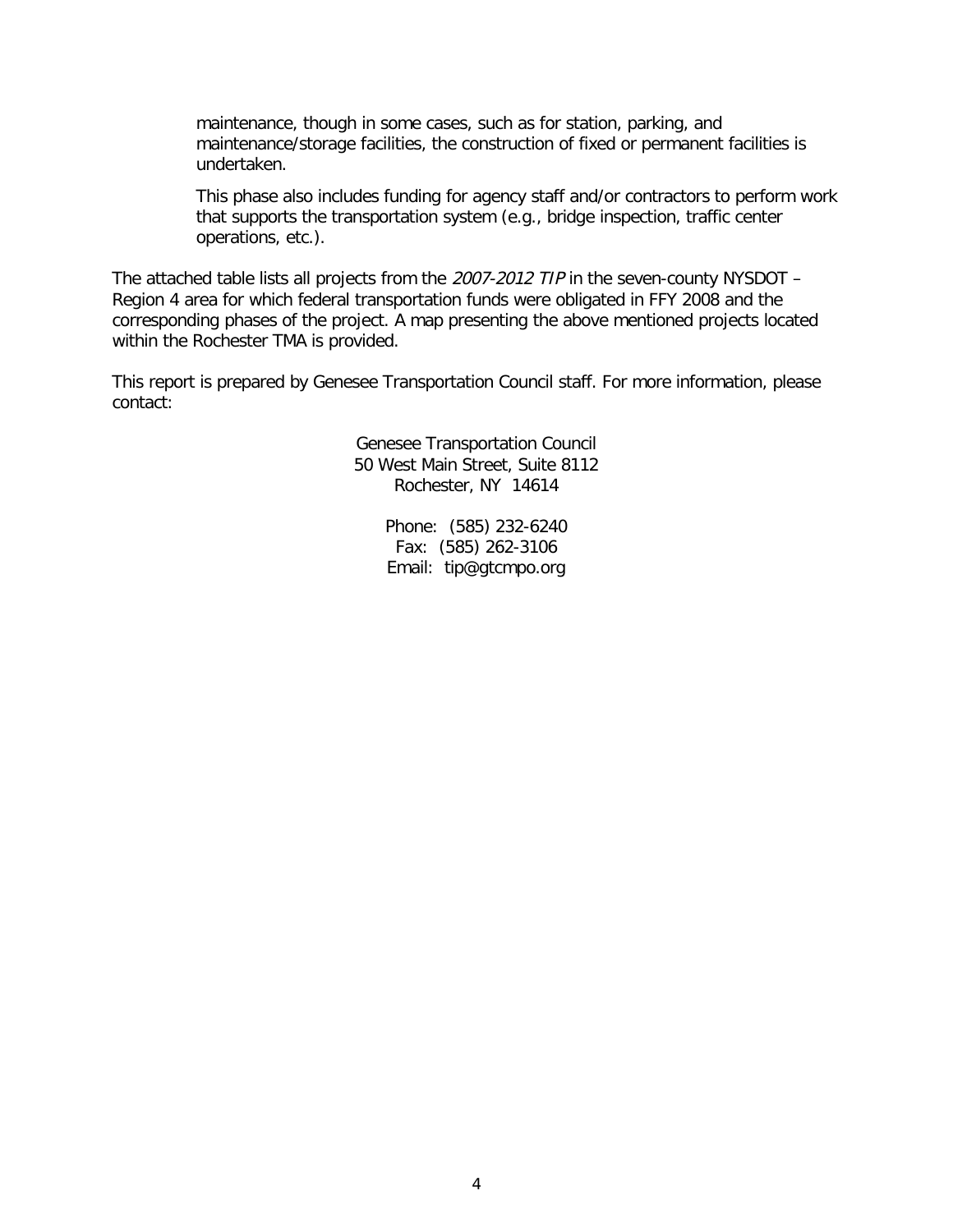maintenance, though in some cases, such as for station, parking, and maintenance/storage facilities, the construction of fixed or permanent facilities is undertaken.

This phase also includes funding for agency staff and/or contractors to perform work that supports the transportation system (e.g., bridge inspection, traffic center operations, etc.).

The attached table lists all projects from the 2007-2012 TIP in the seven-county NYSDOT – Region 4 area for which federal transportation funds were obligated in FFY 2008 and the corresponding phases of the project. A map presenting the above mentioned projects located within the Rochester TMA is provided.

This report is prepared by Genesee Transportation Council staff. For more information, please contact:

> Genesee Transportation Council 50 West Main Street, Suite 8112 Rochester, NY 14614

> > Phone: (585) 232-6240 Fax: (585) 262-3106 Email: tip@gtcmpo.org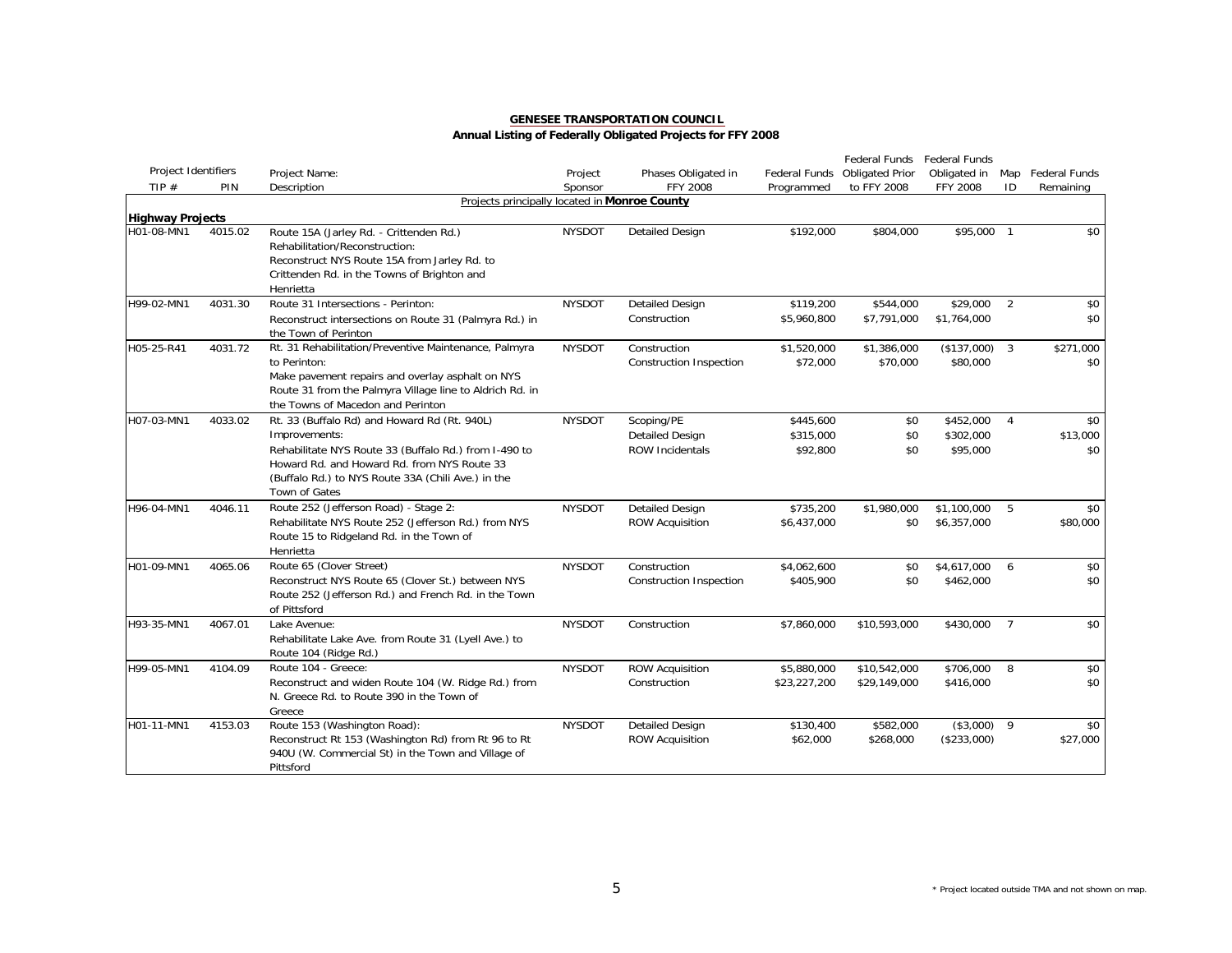|                         |         |                                                                                                                                                                                                                            |               |                                                |                         | Federal Funds           | Federal Funds           |                |                   |
|-------------------------|---------|----------------------------------------------------------------------------------------------------------------------------------------------------------------------------------------------------------------------------|---------------|------------------------------------------------|-------------------------|-------------------------|-------------------------|----------------|-------------------|
| Project Identifiers     |         | Project Name:                                                                                                                                                                                                              | Project       | Phases Obligated in                            | Federal Funds           | <b>Obligated Prior</b>  | Obligated in            |                | Map Federal Funds |
| TIP#                    | PIN     | Description                                                                                                                                                                                                                | Sponsor       | <b>FFY 2008</b>                                | Programmed              | to FFY 2008             | FFY 2008                | ID             | Remaining         |
|                         |         | Projects principally located in Monroe County                                                                                                                                                                              |               |                                                |                         |                         |                         |                |                   |
| <b>Highway Projects</b> |         |                                                                                                                                                                                                                            |               |                                                |                         |                         |                         |                |                   |
| H01-08-MN1              | 4015.02 | Route 15A (Jarley Rd. - Crittenden Rd.)<br>Rehabilitation/Reconstruction:<br>Reconstruct NYS Route 15A from Jarley Rd. to<br>Crittenden Rd. in the Towns of Brighton and<br>Henrietta                                      | <b>NYSDOT</b> | <b>Detailed Design</b>                         | \$192,000               | \$804,000               | \$95,000 1              |                | \$0               |
| H99-02-MN1              | 4031.30 | Route 31 Intersections - Perinton:                                                                                                                                                                                         | <b>NYSDOT</b> | <b>Detailed Design</b>                         | \$119,200               | \$544,000               | \$29,000                | 2              | \$0               |
|                         |         | Reconstruct intersections on Route 31 (Palmyra Rd.) in<br>the Town of Perinton                                                                                                                                             |               | Construction                                   | \$5,960,800             | \$7,791,000             | \$1,764,000             |                | \$0               |
| H05-25-R41              | 4031.72 | Rt. 31 Rehabilitation/Preventive Maintenance, Palmyra<br>to Perinton:<br>Make pavement repairs and overlay asphalt on NYS<br>Route 31 from the Palmyra Village line to Aldrich Rd. in<br>the Towns of Macedon and Perinton | <b>NYSDOT</b> | Construction<br><b>Construction Inspection</b> | \$1,520,000<br>\$72,000 | \$1,386,000<br>\$70,000 | (\$137,000)<br>\$80,000 | 3              | \$271,000<br>\$0  |
| H07-03-MN1              | 4033.02 | Rt. 33 (Buffalo Rd) and Howard Rd (Rt. 940L)                                                                                                                                                                               | <b>NYSDOT</b> | Scoping/PE                                     | \$445,600               | \$0                     | \$452,000               | 4              | \$0               |
|                         |         | Improvements:                                                                                                                                                                                                              |               | <b>Detailed Design</b>                         | \$315,000               | \$0                     | \$302,000               |                | \$13,000          |
|                         |         | Rehabilitate NYS Route 33 (Buffalo Rd.) from I-490 to<br>Howard Rd. and Howard Rd. from NYS Route 33<br>(Buffalo Rd.) to NYS Route 33A (Chili Ave.) in the<br>Town of Gates                                                |               | <b>ROW Incidentals</b>                         | \$92,800                | \$0                     | \$95,000                |                | \$0               |
| H96-04-MN1              | 4046.11 | Route 252 (Jefferson Road) - Stage 2:                                                                                                                                                                                      | <b>NYSDOT</b> | <b>Detailed Design</b>                         | \$735,200               | \$1,980,000             | \$1,100,000             | 5              | \$0               |
|                         |         | Rehabilitate NYS Route 252 (Jefferson Rd.) from NYS<br>Route 15 to Ridgeland Rd. in the Town of<br>Henrietta                                                                                                               |               | <b>ROW Acquisition</b>                         | \$6,437,000             | \$0                     | \$6,357,000             |                | \$80,000          |
| H01-09-MN1              | 4065.06 | Route 65 (Clover Street)                                                                                                                                                                                                   | <b>NYSDOT</b> | Construction                                   | \$4,062,600             | \$0                     | \$4,617,000             | 6              | \$0               |
|                         |         | Reconstruct NYS Route 65 (Clover St.) between NYS<br>Route 252 (Jefferson Rd.) and French Rd. in the Town<br>of Pittsford                                                                                                  |               | <b>Construction Inspection</b>                 | \$405,900               | \$0                     | \$462,000               |                | \$0               |
| H93-35-MN1              | 4067.01 | Lake Avenue:<br>Rehabilitate Lake Ave. from Route 31 (Lyell Ave.) to<br>Route 104 (Ridge Rd.)                                                                                                                              | <b>NYSDOT</b> | Construction                                   | \$7,860,000             | \$10,593,000            | \$430,000               | $\overline{7}$ | \$0               |
| H99-05-MN1              | 4104.09 | Route 104 - Greece:                                                                                                                                                                                                        | <b>NYSDOT</b> | <b>ROW Acquisition</b>                         | \$5,880,000             | \$10,542,000            | \$706,000               | 8              | \$0               |
|                         |         | Reconstruct and widen Route 104 (W. Ridge Rd.) from<br>N. Greece Rd. to Route 390 in the Town of<br>Greece                                                                                                                 |               | Construction                                   | \$23,227,200            | \$29,149,000            | \$416,000               |                | \$0               |
| H01-11-MN1              | 4153.03 | Route 153 (Washington Road):                                                                                                                                                                                               | <b>NYSDOT</b> | <b>Detailed Design</b>                         | \$130,400               | \$582,000               | (\$3,000)               | 9              | \$0               |
|                         |         | Reconstruct Rt 153 (Washington Rd) from Rt 96 to Rt<br>940U (W. Commercial St) in the Town and Village of<br>Pittsford                                                                                                     |               | <b>ROW Acquisition</b>                         | \$62,000                | \$268,000               | (\$233,000)             |                | \$27,000          |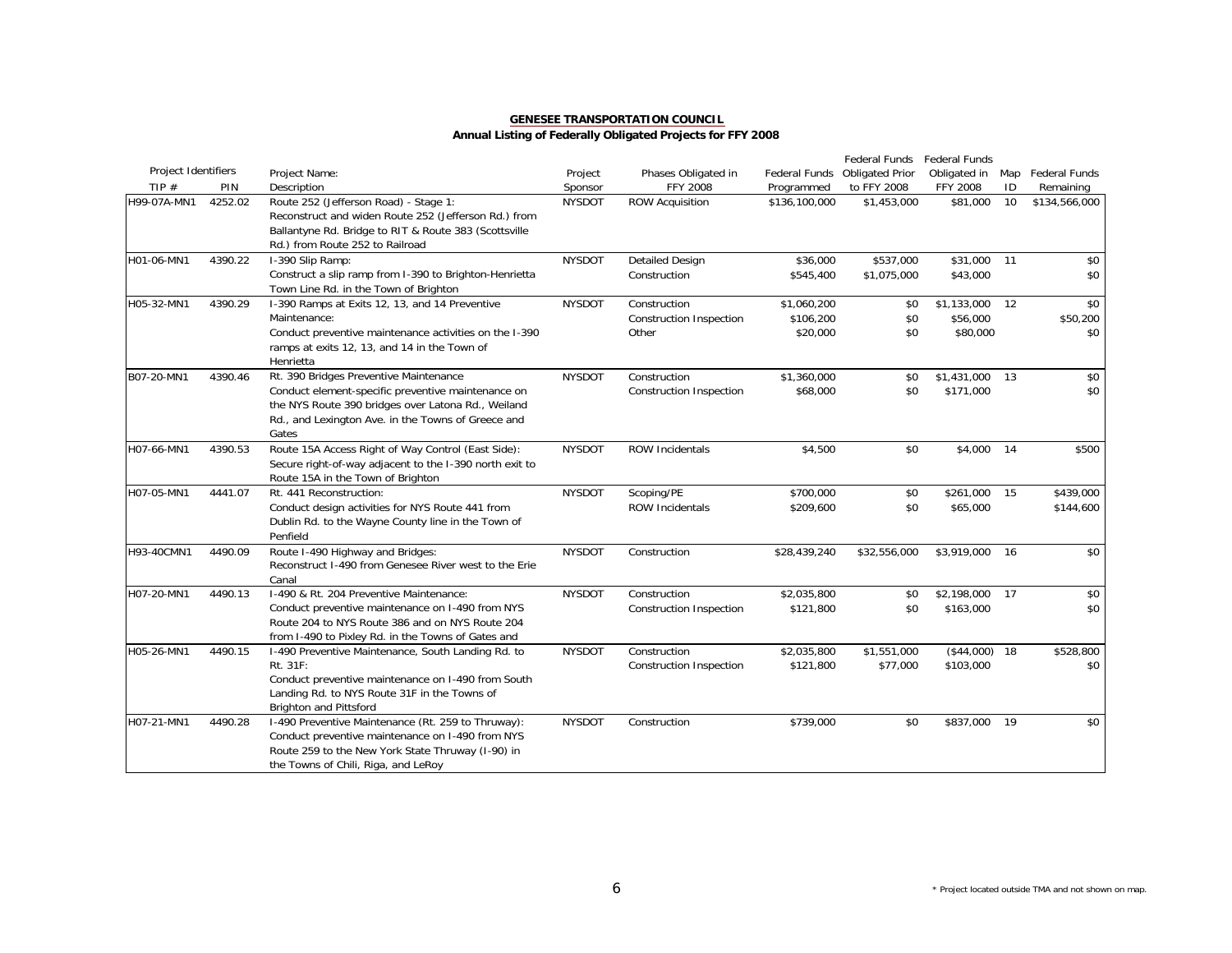|                     |         |                                                                                                                                                                                                                   |               |                                                         |                                      | Federal Funds            | Federal Funds                       |     |                        |
|---------------------|---------|-------------------------------------------------------------------------------------------------------------------------------------------------------------------------------------------------------------------|---------------|---------------------------------------------------------|--------------------------------------|--------------------------|-------------------------------------|-----|------------------------|
| Project Identifiers |         | Project Name:                                                                                                                                                                                                     | Project       | Phases Obligated in                                     | Federal Funds                        | <b>Obligated Prior</b>   | Obligated in                        | Map | Federal Funds          |
| TIP $#$             | PIN     | Description                                                                                                                                                                                                       | Sponsor       | FFY 2008                                                | Programmed                           | to FFY 2008              | <b>FFY 2008</b>                     | ID  | Remaining              |
| H99-07A-MN1         | 4252.02 | Route 252 (Jefferson Road) - Stage 1:<br>Reconstruct and widen Route 252 (Jefferson Rd.) from<br>Ballantyne Rd. Bridge to RIT & Route 383 (Scottsville<br>Rd.) from Route 252 to Railroad                         | <b>NYSDOT</b> | <b>ROW Acquisition</b>                                  | \$136,100,000                        | \$1,453,000              | \$81,000                            | 10  | \$134,566,000          |
| H01-06-MN1          | 4390.22 | I-390 Slip Ramp:<br>Construct a slip ramp from I-390 to Brighton-Henrietta<br>Town Line Rd. in the Town of Brighton                                                                                               | <b>NYSDOT</b> | <b>Detailed Design</b><br>Construction                  | \$36,000<br>\$545,400                | \$537,000<br>\$1,075,000 | \$31,000<br>\$43,000                | 11  | \$0<br>\$0             |
| H05-32-MN1          | 4390.29 | I-390 Ramps at Exits 12, 13, and 14 Preventive<br>Maintenance:<br>Conduct preventive maintenance activities on the I-390<br>ramps at exits 12, 13, and 14 in the Town of<br>Henrietta                             | <b>NYSDOT</b> | Construction<br><b>Construction Inspection</b><br>Other | \$1,060,200<br>\$106,200<br>\$20,000 | \$0<br>\$0<br>\$0        | \$1,133,000<br>\$56,000<br>\$80,000 | 12  | \$0<br>\$50,200<br>\$0 |
| B07-20-MN1          | 4390.46 | Rt. 390 Bridges Preventive Maintenance<br>Conduct element-specific preventive maintenance on<br>the NYS Route 390 bridges over Latona Rd., Weiland<br>Rd., and Lexington Ave. in the Towns of Greece and<br>Gates | <b>NYSDOT</b> | Construction<br><b>Construction Inspection</b>          | \$1,360,000<br>\$68,000              | \$0<br>\$0               | \$1,431,000<br>\$171,000            | 13  | \$0<br>\$0             |
| H07-66-MN1          | 4390.53 | Route 15A Access Right of Way Control (East Side):<br>Secure right-of-way adjacent to the I-390 north exit to<br>Route 15A in the Town of Brighton                                                                | <b>NYSDOT</b> | <b>ROW Incidentals</b>                                  | \$4,500                              | \$0                      | \$4,000                             | 14  | \$500                  |
| H07-05-MN1          | 4441.07 | Rt. 441 Reconstruction:<br>Conduct design activities for NYS Route 441 from<br>Dublin Rd. to the Wayne County line in the Town of<br>Penfield                                                                     | <b>NYSDOT</b> | Scoping/PE<br><b>ROW Incidentals</b>                    | \$700,000<br>\$209,600               | \$0<br>\$0               | \$261,000<br>\$65,000               | 15  | \$439,000<br>\$144,600 |
| H93-40CMN1          | 4490.09 | Route I-490 Highway and Bridges:<br>Reconstruct 1-490 from Genesee River west to the Erie<br>Canal                                                                                                                | <b>NYSDOT</b> | Construction                                            | \$28,439,240                         | \$32,556,000             | \$3,919,000                         | 16  | \$0                    |
| H07-20-MN1          | 4490.13 | I-490 & Rt. 204 Preventive Maintenance:<br>Conduct preventive maintenance on I-490 from NYS<br>Route 204 to NYS Route 386 and on NYS Route 204<br>from I-490 to Pixley Rd. in the Towns of Gates and              | <b>NYSDOT</b> | Construction<br>Construction Inspection                 | \$2,035,800<br>\$121,800             | \$0<br>\$0               | \$2,198,000<br>\$163,000            | 17  | \$0<br>\$0             |
| H05-26-MN1          | 4490.15 | I-490 Preventive Maintenance, South Landing Rd. to<br>Rt. 31F:<br>Conduct preventive maintenance on I-490 from South<br>Landing Rd. to NYS Route 31F in the Towns of<br><b>Brighton and Pittsford</b>             | <b>NYSDOT</b> | Construction<br>Construction Inspection                 | \$2,035,800<br>\$121,800             | \$1,551,000<br>\$77,000  | (\$44,000)<br>\$103,000             | 18  | \$528,800<br>\$0       |
| H07-21-MN1          | 4490.28 | I-490 Preventive Maintenance (Rt. 259 to Thruway):<br>Conduct preventive maintenance on I-490 from NYS<br>Route 259 to the New York State Thruway (I-90) in<br>the Towns of Chili, Riga, and LeRoy                | <b>NYSDOT</b> | Construction                                            | \$739,000                            | \$0                      | \$837,000                           | 19  | \$0                    |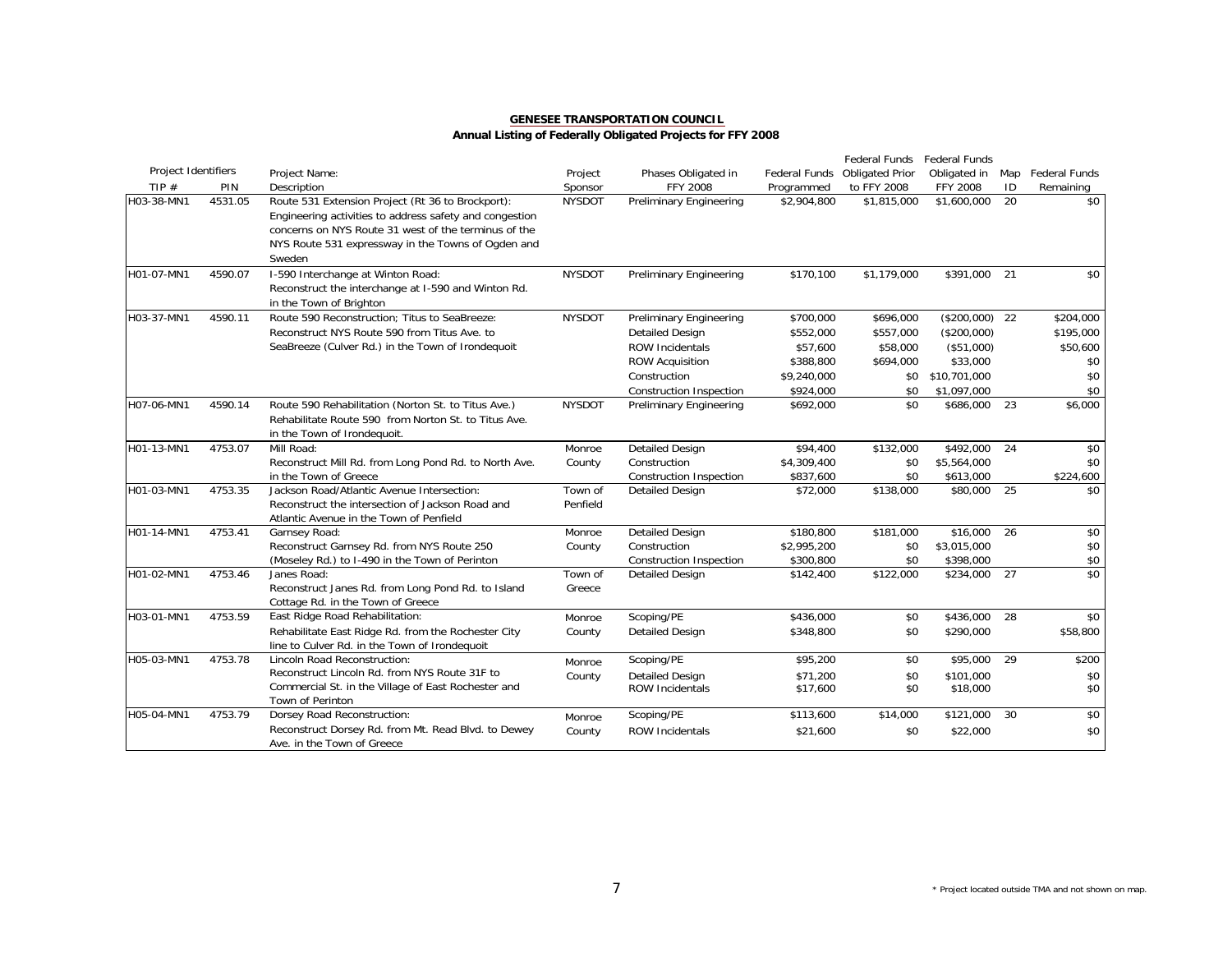|                     |         |                                                                                                                                                                                                                                      |                     |                                                                                                                                                         |                                                                             | Federal Funds                                                 | Federal Funds                                                                           |    |                                                         |
|---------------------|---------|--------------------------------------------------------------------------------------------------------------------------------------------------------------------------------------------------------------------------------------|---------------------|---------------------------------------------------------------------------------------------------------------------------------------------------------|-----------------------------------------------------------------------------|---------------------------------------------------------------|-----------------------------------------------------------------------------------------|----|---------------------------------------------------------|
| Project Identifiers |         | Project Name:                                                                                                                                                                                                                        | Project             | Phases Obligated in                                                                                                                                     | Federal Funds                                                               | <b>Obligated Prior</b>                                        | Obligated in                                                                            |    | Map Federal Funds                                       |
| TIP $#$             | PIN     | Description                                                                                                                                                                                                                          | Sponsor             | <b>FFY 2008</b>                                                                                                                                         | Programmed                                                                  | to FFY 2008                                                   | <b>FFY 2008</b>                                                                         | ID | Remaining                                               |
| H03-38-MN1          | 4531.05 | Route 531 Extension Project (Rt 36 to Brockport):<br>Engineering activities to address safety and congestion<br>concerns on NYS Route 31 west of the terminus of the<br>NYS Route 531 expressway in the Towns of Ogden and<br>Sweden | <b>NYSDOT</b>       | <b>Preliminary Engineering</b>                                                                                                                          | \$2,904,800                                                                 | \$1,815,000                                                   | \$1,600,000                                                                             | 20 | \$0                                                     |
| H01-07-MN1          | 4590.07 | I-590 Interchange at Winton Road:<br>Reconstruct the interchange at I-590 and Winton Rd.<br>in the Town of Brighton                                                                                                                  | <b>NYSDOT</b>       | <b>Preliminary Engineering</b>                                                                                                                          | \$170,100                                                                   | \$1,179,000                                                   | \$391,000                                                                               | 21 | \$0                                                     |
| H03-37-MN1          | 4590.11 | Route 590 Reconstruction; Titus to SeaBreeze:<br>Reconstruct NYS Route 590 from Titus Ave. to<br>SeaBreeze (Culver Rd.) in the Town of Irondequoit                                                                                   | <b>NYSDOT</b>       | Preliminary Engineering<br><b>Detailed Design</b><br><b>ROW Incidentals</b><br><b>ROW Acquisition</b><br>Construction<br><b>Construction Inspection</b> | \$700,000<br>\$552,000<br>\$57,600<br>\$388,800<br>\$9,240,000<br>\$924,000 | \$696,000<br>\$557,000<br>\$58,000<br>\$694,000<br>\$0<br>\$0 | $($200,000)$ 22<br>(\$200,000)<br>(\$51,000)<br>\$33,000<br>\$10,701,000<br>\$1,097,000 |    | \$204,000<br>\$195,000<br>\$50,600<br>\$0<br>\$0<br>\$0 |
| H07-06-MN1          | 4590.14 | Route 590 Rehabilitation (Norton St. to Titus Ave.)<br>Rehabilitate Route 590 from Norton St. to Titus Ave.<br>in the Town of Irondequoit.                                                                                           | <b>NYSDOT</b>       | <b>Preliminary Engineering</b>                                                                                                                          | \$692,000                                                                   | \$0                                                           | \$686,000                                                                               | 23 | \$6,000                                                 |
| H01-13-MN1          | 4753.07 | Mill Road:<br>Reconstruct Mill Rd. from Long Pond Rd. to North Ave.<br>in the Town of Greece                                                                                                                                         | Monroe<br>County    | <b>Detailed Design</b><br>Construction<br>Construction Inspection                                                                                       | \$94,400<br>\$4,309,400<br>\$837,600                                        | \$132,000<br>\$0<br>\$0                                       | \$492,000<br>\$5,564,000<br>\$613,000                                                   | 24 | \$0<br>\$0<br>\$224,600                                 |
| H01-03-MN1          | 4753.35 | Jackson Road/Atlantic Avenue Intersection:<br>Reconstruct the intersection of Jackson Road and<br>Atlantic Avenue in the Town of Penfield                                                                                            | Town of<br>Penfield | <b>Detailed Design</b>                                                                                                                                  | \$72,000                                                                    | \$138,000                                                     | \$80,000                                                                                | 25 | \$0                                                     |
| H01-14-MN1          | 4753.41 | Garnsey Road:<br>Reconstruct Garnsey Rd. from NYS Route 250<br>(Moseley Rd.) to I-490 in the Town of Perinton                                                                                                                        | Monroe<br>County    | <b>Detailed Design</b><br>Construction<br><b>Construction Inspection</b>                                                                                | \$180.800<br>\$2,995,200<br>\$300,800                                       | \$181,000<br>\$0<br>\$0                                       | \$16,000<br>\$3,015,000<br>\$398,000                                                    | 26 | \$0<br>\$0<br>\$0                                       |
| H01-02-MN1          | 4753.46 | Janes Road:<br>Reconstruct Janes Rd. from Long Pond Rd. to Island<br>Cottage Rd. in the Town of Greece                                                                                                                               | Town of<br>Greece   | <b>Detailed Design</b>                                                                                                                                  | \$142,400                                                                   | \$122,000                                                     | \$234,000                                                                               | 27 | $\overline{50}$                                         |
| H03-01-MN1          | 4753.59 | East Ridge Road Rehabilitation:<br>Rehabilitate East Ridge Rd. from the Rochester City<br>line to Culver Rd. in the Town of Irondequoit                                                                                              | Monroe<br>County    | Scoping/PE<br><b>Detailed Design</b>                                                                                                                    | \$436,000<br>\$348,800                                                      | \$0<br>\$0                                                    | \$436,000<br>\$290,000                                                                  | 28 | \$0<br>\$58,800                                         |
| H05-03-MN1          | 4753.78 | Lincoln Road Reconstruction:<br>Reconstruct Lincoln Rd. from NYS Route 31F to<br>Commercial St. in the Village of East Rochester and<br>Town of Perinton                                                                             | Monroe<br>County    | Scoping/PE<br><b>Detailed Design</b><br>ROW Incidentals                                                                                                 | \$95,200<br>\$71,200<br>\$17,600                                            | \$0<br>\$0<br>\$0                                             | \$95,000<br>\$101.000<br>\$18,000                                                       | 29 | \$200<br>\$0<br>\$0                                     |
| H05-04-MN1          | 4753.79 | Dorsey Road Reconstruction:<br>Reconstruct Dorsey Rd. from Mt. Read Blvd. to Dewey<br>Ave. in the Town of Greece                                                                                                                     | Monroe<br>County    | Scoping/PE<br><b>ROW Incidentals</b>                                                                                                                    | \$113,600<br>\$21,600                                                       | \$14,000<br>\$0                                               | \$121,000<br>\$22,000                                                                   | 30 | \$0<br>\$0                                              |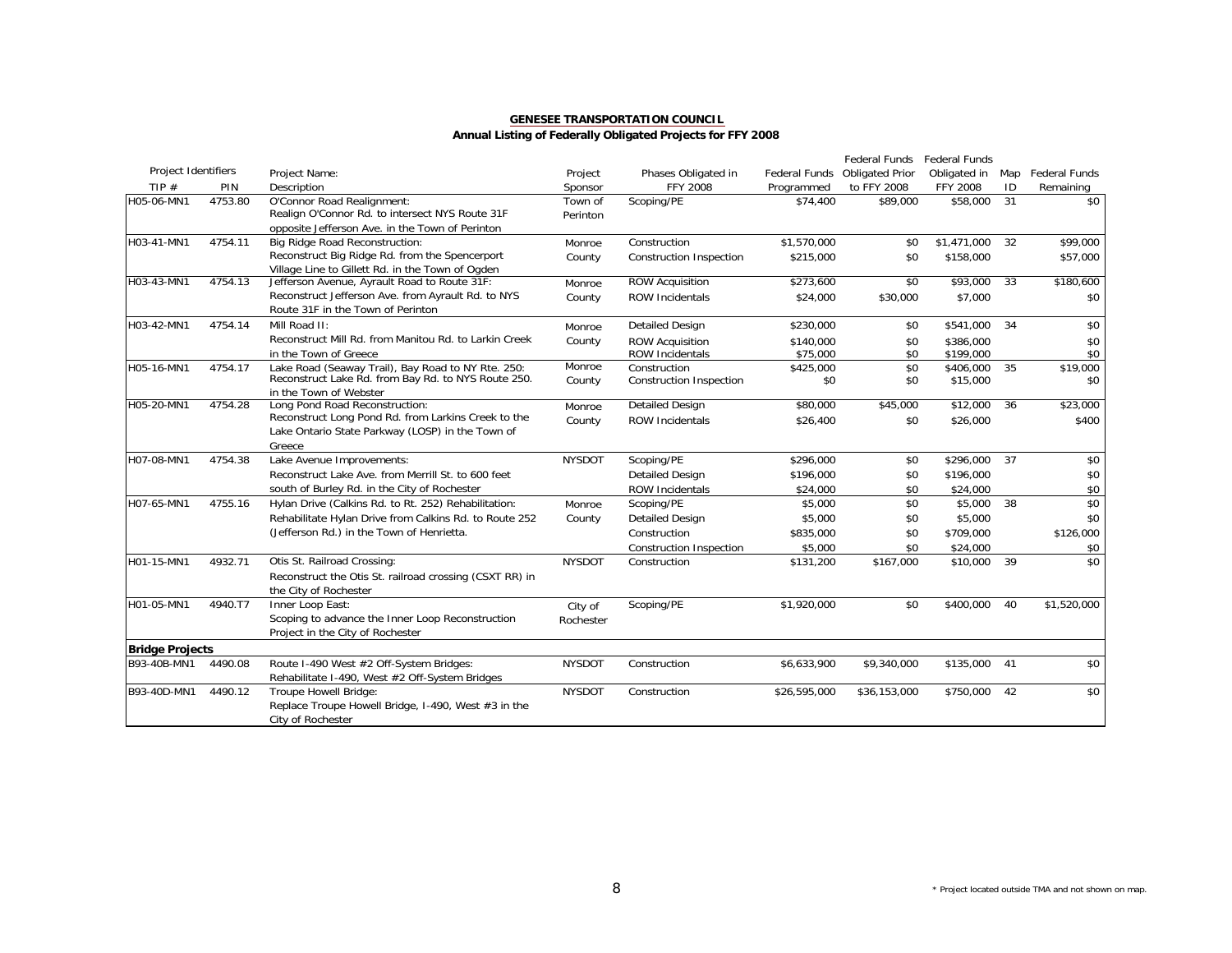|                            |         |                                                         |               |                                |               | <b>Federal Funds</b>   | Federal Funds |     |                      |
|----------------------------|---------|---------------------------------------------------------|---------------|--------------------------------|---------------|------------------------|---------------|-----|----------------------|
| <b>Project Identifiers</b> |         | Project Name:                                           | Project       | Phases Obligated in            | Federal Funds | <b>Obligated Prior</b> | Obligated in  | Map | <b>Federal Funds</b> |
| TIP $#$                    | PIN     | Description                                             | Sponsor       | <b>FFY 2008</b>                | Programmed    | to FFY 2008            | FFY 2008      | ID  | Remaining            |
| H05-06-MN1                 | 4753.80 | O'Connor Road Realignment:                              | Town of       | Scoping/PE                     | \$74,400      | \$89,000               | \$58,000      | 31  | \$0                  |
|                            |         | Realign O'Connor Rd. to intersect NYS Route 31F         | Perinton      |                                |               |                        |               |     |                      |
|                            |         | opposite Jefferson Ave. in the Town of Perinton         |               |                                |               |                        |               |     |                      |
| H03-41-MN1                 | 4754.11 | Big Ridge Road Reconstruction:                          | Monroe        | Construction                   | \$1,570,000   | \$0                    | \$1,471,000   | 32  | \$99,000             |
|                            |         | Reconstruct Big Ridge Rd. from the Spencerport          | County        | <b>Construction Inspection</b> | \$215,000     | \$0                    | \$158,000     |     | \$57,000             |
|                            |         | Village Line to Gillett Rd. in the Town of Ogden        |               |                                |               |                        |               |     |                      |
| H03-43-MN1                 | 4754.13 | Jefferson Avenue, Ayrault Road to Route 31F:            | Monroe        | <b>ROW Acquisition</b>         | \$273,600     | \$0                    | \$93,000      | 33  | \$180,600            |
|                            |         | Reconstruct Jefferson Ave. from Ayrault Rd. to NYS      | County        | <b>ROW Incidentals</b>         | \$24,000      | \$30,000               | \$7,000       |     | \$0                  |
|                            |         | Route 31F in the Town of Perinton                       |               |                                |               |                        |               |     |                      |
| H03-42-MN1                 | 4754.14 | Mill Road II:                                           | Monroe        | <b>Detailed Design</b>         | \$230,000     | \$0                    | \$541,000     | 34  | \$0                  |
|                            |         | Reconstruct Mill Rd. from Manitou Rd. to Larkin Creek   | County        | <b>ROW Acquisition</b>         | \$140,000     | \$0                    | \$386,000     |     | \$0                  |
|                            |         | in the Town of Greece                                   |               | <b>ROW Incidentals</b>         | \$75,000      | \$0                    | \$199,000     |     | \$0                  |
| H05-16-MN1                 | 4754.17 | Lake Road (Seaway Trail), Bay Road to NY Rte. 250:      | Monroe        | Construction                   | \$425,000     | \$0                    | \$406,000     | 35  | \$19,000             |
|                            |         | Reconstruct Lake Rd. from Bay Rd. to NYS Route 250.     | County        | Construction Inspection        | \$0           | \$0                    | \$15,000      |     | \$0                  |
|                            |         | in the Town of Webster                                  |               |                                |               |                        |               |     |                      |
| H05-20-MN1                 | 4754.28 | Long Pond Road Reconstruction:                          | Monroe        | <b>Detailed Design</b>         | \$80,000      | \$45,000               | \$12,000      | 36  | \$23,000             |
|                            |         | Reconstruct Long Pond Rd. from Larkins Creek to the     | County        | <b>ROW Incidentals</b>         | \$26,400      | \$0                    | \$26,000      |     | \$400                |
|                            |         | Lake Ontario State Parkway (LOSP) in the Town of        |               |                                |               |                        |               |     |                      |
| H07-08-MN1                 | 4754.38 | Greece<br>Lake Avenue Improvements:                     | <b>NYSDOT</b> | Scoping/PE                     | \$296,000     | \$0                    | \$296,000     | 37  | \$0                  |
|                            |         |                                                         |               |                                |               |                        |               |     |                      |
|                            |         | Reconstruct Lake Ave. from Merrill St. to 600 feet      |               | <b>Detailed Design</b>         | \$196,000     | \$0                    | \$196,000     |     | \$0                  |
|                            |         | south of Burley Rd. in the City of Rochester            |               | <b>ROW Incidentals</b>         | \$24,000      | \$0                    | \$24,000      |     | \$0                  |
| H07-65-MN1                 | 4755.16 | Hylan Drive (Calkins Rd. to Rt. 252) Rehabilitation:    | Monroe        | Scoping/PE                     | \$5,000       | \$0                    | \$5,000       | 38  | \$0                  |
|                            |         | Rehabilitate Hylan Drive from Calkins Rd. to Route 252  | County        | <b>Detailed Design</b>         | \$5,000       | \$0                    | \$5,000       |     | \$0                  |
|                            |         | (Jefferson Rd.) in the Town of Henrietta.               |               | Construction                   | \$835,000     | \$0                    | \$709,000     |     | \$126,000            |
|                            |         |                                                         |               | <b>Construction Inspection</b> | \$5,000       | \$0                    | \$24,000      |     | \$0                  |
| H01-15-MN1                 | 4932.71 | Otis St. Railroad Crossing:                             | <b>NYSDOT</b> | Construction                   | \$131,200     | \$167,000              | \$10,000      | 39  | $\overline{50}$      |
|                            |         | Reconstruct the Otis St. railroad crossing (CSXT RR) in |               |                                |               |                        |               |     |                      |
|                            |         | the City of Rochester                                   |               |                                |               |                        |               |     |                      |
| H01-05-MN1                 | 4940.T7 | Inner Loop East:                                        | City of       | Scoping/PE                     | \$1,920,000   | \$0                    | \$400,000     | 40  | \$1,520,000          |
|                            |         | Scoping to advance the Inner Loop Reconstruction        | Rochester     |                                |               |                        |               |     |                      |
|                            |         | Project in the City of Rochester                        |               |                                |               |                        |               |     |                      |
| <b>Bridge Projects</b>     |         |                                                         |               |                                |               |                        |               |     |                      |
| B93-40B-MN1                | 4490.08 | Route I-490 West #2 Off-System Bridges:                 | <b>NYSDOT</b> | Construction                   | \$6,633,900   | \$9,340,000            | \$135,000     | 41  | \$0                  |
|                            |         | Rehabilitate I-490, West #2 Off-System Bridges          |               |                                |               |                        |               |     |                      |
| B93-40D-MN1                | 4490.12 | Troupe Howell Bridge:                                   | <b>NYSDOT</b> | Construction                   | \$26,595,000  | \$36,153,000           | \$750,000     | 42  | \$0                  |
|                            |         | Replace Troupe Howell Bridge, I-490, West #3 in the     |               |                                |               |                        |               |     |                      |
|                            |         | City of Rochester                                       |               |                                |               |                        |               |     |                      |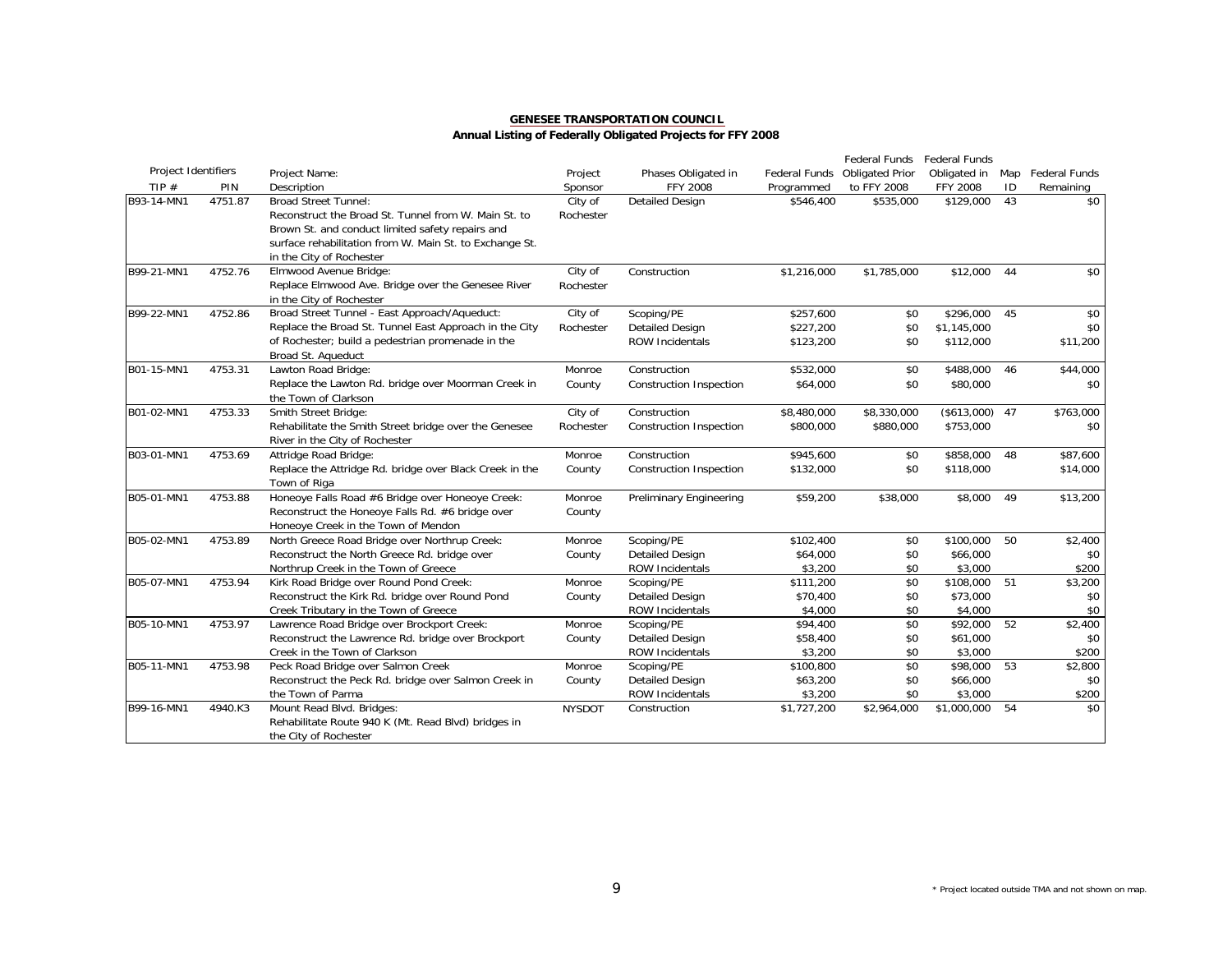|                     |         |                                                         |               |                                        |                        | Federal Funds          | Federal Funds          |    |                   |
|---------------------|---------|---------------------------------------------------------|---------------|----------------------------------------|------------------------|------------------------|------------------------|----|-------------------|
| Project Identifiers |         | Project Name:                                           | Project       | Phases Obligated in                    | Federal Funds          | <b>Obligated Prior</b> | Obligated in           |    | Map Federal Funds |
| TIP $#$             | PIN     | Description                                             | Sponsor       | <b>FFY 2008</b>                        | Programmed             | to FFY 2008            | <b>FFY 2008</b>        | ID | Remaining         |
| B93-14-MN1          | 4751.87 | <b>Broad Street Tunnel:</b>                             | City of       | <b>Detailed Design</b>                 | \$546,400              | \$535,000              | \$129,000              | 43 | \$0               |
|                     |         | Reconstruct the Broad St. Tunnel from W. Main St. to    | Rochester     |                                        |                        |                        |                        |    |                   |
|                     |         | Brown St. and conduct limited safety repairs and        |               |                                        |                        |                        |                        |    |                   |
|                     |         | surface rehabilitation from W. Main St. to Exchange St. |               |                                        |                        |                        |                        |    |                   |
|                     |         | in the City of Rochester                                |               |                                        |                        |                        |                        |    |                   |
| B99-21-MN1          | 4752.76 | Elmwood Avenue Bridge:                                  | City of       | Construction                           | \$1,216,000            | \$1,785,000            | \$12,000               | 44 | \$0               |
|                     |         | Replace Elmwood Ave. Bridge over the Genesee River      | Rochester     |                                        |                        |                        |                        |    |                   |
|                     |         | in the City of Rochester                                |               |                                        |                        |                        |                        |    |                   |
| B99-22-MN1          | 4752.86 | Broad Street Tunnel - East Approach/Aqueduct:           | City of       | Scoping/PE                             | \$257,600              | \$0                    | \$296,000              | 45 | \$0               |
|                     |         | Replace the Broad St. Tunnel East Approach in the City  | Rochester     | <b>Detailed Design</b>                 | \$227,200              | \$0                    | \$1,145,000            |    | \$0               |
|                     |         | of Rochester; build a pedestrian promenade in the       |               | ROW Incidentals                        | \$123,200              | \$0                    | \$112,000              |    | \$11,200          |
|                     |         | Broad St. Aqueduct                                      |               |                                        |                        |                        |                        |    |                   |
| B01-15-MN1          | 4753.31 | Lawton Road Bridge:                                     | Monroe        | Construction                           | \$532,000              | \$0                    | \$488,000              | 46 | \$44,000          |
|                     |         | Replace the Lawton Rd. bridge over Moorman Creek in     | County        | <b>Construction Inspection</b>         | \$64,000               | \$0                    | \$80,000               |    | \$0               |
|                     |         | the Town of Clarkson                                    |               |                                        |                        |                        |                        |    |                   |
| B01-02-MN1          | 4753.33 | Smith Street Bridge:                                    | City of       | Construction                           | \$8,480,000            | \$8,330,000            | (\$613,000)            | 47 | \$763,000         |
|                     |         | Rehabilitate the Smith Street bridge over the Genesee   | Rochester     | <b>Construction Inspection</b>         | \$800,000              | \$880,000              | \$753,000              |    | \$0               |
|                     |         | River in the City of Rochester                          |               |                                        |                        |                        |                        |    |                   |
| B03-01-MN1          | 4753.69 | Attridge Road Bridge:                                   | Monroe        | Construction                           | \$945,600              | \$0                    | \$858,000              | 48 | \$87,600          |
|                     |         | Replace the Attridge Rd. bridge over Black Creek in the | County        | <b>Construction Inspection</b>         | \$132,000              | \$0                    | \$118,000              |    | \$14,000          |
|                     |         | Town of Riga                                            |               |                                        |                        |                        |                        |    |                   |
| B05-01-MN1          | 4753.88 | Honeoye Falls Road #6 Bridge over Honeoye Creek:        | Monroe        | <b>Preliminary Engineering</b>         | \$59,200               | \$38,000               | \$8,000                | 49 | \$13,200          |
|                     |         | Reconstruct the Honeove Falls Rd. #6 bridge over        | County        |                                        |                        |                        |                        |    |                   |
|                     |         | Honeoye Creek in the Town of Mendon                     |               |                                        |                        |                        |                        |    |                   |
| B05-02-MN1          | 4753.89 | North Greece Road Bridge over Northrup Creek:           | Monroe        | Scoping/PE                             | \$102,400              | \$0                    | \$100,000              | 50 | \$2,400           |
|                     |         | Reconstruct the North Greece Rd. bridge over            | County        | <b>Detailed Design</b>                 | \$64,000               | \$0                    | \$66,000               |    | \$0               |
|                     |         | Northrup Creek in the Town of Greece                    |               | ROW Incidentals                        | \$3,200                | \$0                    | \$3,000                |    | \$200             |
| B05-07-MN1          | 4753.94 | Kirk Road Bridge over Round Pond Creek:                 | Monroe        | Scoping/PE                             | \$111,200              | \$0                    | \$108,000              | 51 | \$3,200           |
|                     |         | Reconstruct the Kirk Rd. bridge over Round Pond         | County        | <b>Detailed Design</b>                 | \$70,400               | \$0                    | \$73,000               |    | \$0               |
|                     |         | Creek Tributary in the Town of Greece                   |               | ROW Incidentals                        | \$4,000                | \$0                    | \$4,000                |    | \$0               |
| B05-10-MN1          | 4753.97 | Lawrence Road Bridge over Brockport Creek:              | Monroe        | Scoping/PE                             | \$94,400               | \$0                    | \$92,000               | 52 | \$2,400           |
|                     |         | Reconstruct the Lawrence Rd. bridge over Brockport      | County        | <b>Detailed Design</b>                 | \$58,400               | \$0                    | \$61,000               |    | \$0               |
| B05-11-MN1          | 4753.98 | Creek in the Town of Clarkson                           |               | <b>ROW Incidentals</b>                 | \$3,200                | \$0                    | \$3,000                | 53 | \$200             |
|                     |         | Peck Road Bridge over Salmon Creek                      | Monroe        | Scoping/PE                             | \$100,800              | \$0                    | \$98,000               |    | \$2,800           |
|                     |         | Reconstruct the Peck Rd. bridge over Salmon Creek in    | County        | <b>Detailed Design</b>                 | \$63,200               | \$0                    | \$66,000               |    | \$0               |
| B99-16-MN1          | 4940.K3 | the Town of Parma<br>Mount Read Blvd. Bridges:          |               | <b>ROW Incidentals</b><br>Construction | \$3,200<br>\$1,727,200 | \$0<br>\$2,964,000     | \$3,000<br>\$1,000,000 | 54 | \$200<br>\$0      |
|                     |         | Rehabilitate Route 940 K (Mt. Read Blvd) bridges in     | <b>NYSDOT</b> |                                        |                        |                        |                        |    |                   |
|                     |         |                                                         |               |                                        |                        |                        |                        |    |                   |
|                     |         | the City of Rochester                                   |               |                                        |                        |                        |                        |    |                   |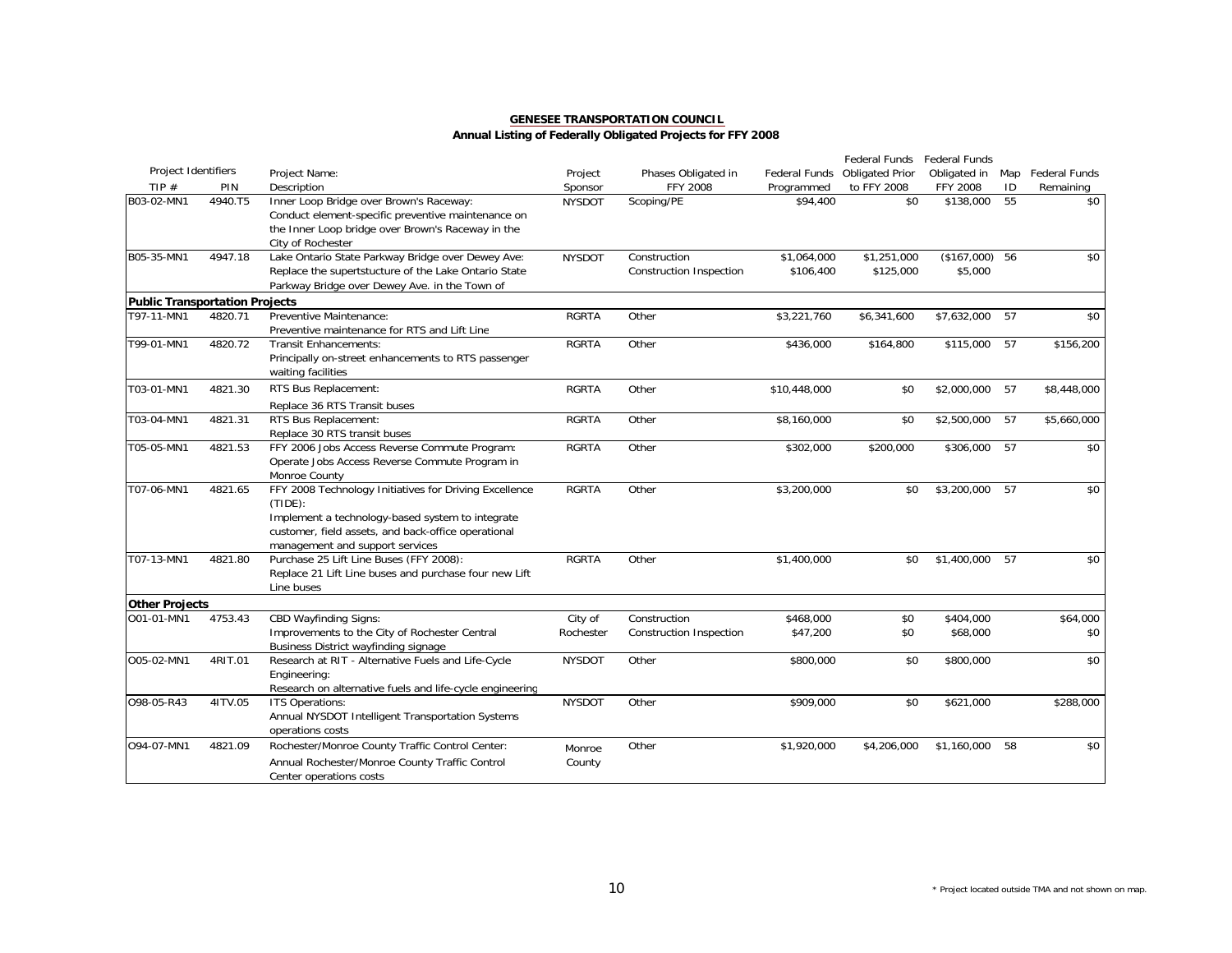|                                       |         |                                                                                                                                                                                                                    |                      |                                                |                          | Federal Funds            | Federal Funds              |     |                 |
|---------------------------------------|---------|--------------------------------------------------------------------------------------------------------------------------------------------------------------------------------------------------------------------|----------------------|------------------------------------------------|--------------------------|--------------------------|----------------------------|-----|-----------------|
| Project Identifiers                   |         | Project Name:                                                                                                                                                                                                      | Project              | Phases Obligated in                            | Federal Funds            | <b>Obligated Prior</b>   | Obligated in               | Map | Federal Funds   |
| TIP#                                  | PIN     | Description                                                                                                                                                                                                        | Sponsor              | <b>FFY 2008</b>                                | Programmed               | to FFY 2008              | FFY 2008                   | ID  | Remaining       |
| B03-02-MN1                            | 4940.T5 | Inner Loop Bridge over Brown's Raceway:<br>Conduct element-specific preventive maintenance on<br>the Inner Loop bridge over Brown's Raceway in the<br>City of Rochester                                            | <b>NYSDOT</b>        | Scoping/PE                                     | \$94,400                 | \$0                      | \$138,000                  | 55  | \$0             |
| B05-35-MN1                            | 4947.18 | Lake Ontario State Parkway Bridge over Dewey Ave:<br>Replace the supertstucture of the Lake Ontario State<br>Parkway Bridge over Dewey Ave. in the Town of                                                         | <b>NYSDOT</b>        | Construction<br><b>Construction Inspection</b> | \$1,064,000<br>\$106,400 | \$1,251,000<br>\$125,000 | $($167,000)$ 56<br>\$5,000 |     | \$0             |
| <b>Public Transportation Projects</b> |         |                                                                                                                                                                                                                    |                      |                                                |                          |                          |                            |     |                 |
| T97-11-MN1                            | 4820.71 | Preventive Maintenance:<br>Preventive maintenance for RTS and Lift Line                                                                                                                                            | <b>RGRTA</b>         | Other                                          | \$3,221,760              | \$6,341,600              | \$7,632,000                | 57  | \$0             |
| T99-01-MN1                            | 4820.72 | <b>Transit Enhancements:</b><br>Principally on-street enhancements to RTS passenger<br>waiting facilities                                                                                                          | <b>RGRTA</b>         | Other                                          | \$436,000                | \$164,800                | \$115,000                  | 57  | \$156,200       |
| T03-01-MN1                            | 4821.30 | RTS Bus Replacement:<br>Replace 36 RTS Transit buses                                                                                                                                                               | <b>RGRTA</b>         | Other                                          | \$10,448,000             | \$0                      | \$2,000,000                | 57  | \$8,448,000     |
| T03-04-MN1                            | 4821.31 | RTS Bus Replacement:<br>Replace 30 RTS transit buses                                                                                                                                                               | <b>RGRTA</b>         | Other                                          | \$8,160,000              | \$0                      | \$2,500,000                | 57  | \$5,660,000     |
| T05-05-MN1                            | 4821.53 | FFY 2006 Jobs Access Reverse Commute Program:<br>Operate Jobs Access Reverse Commute Program in<br>Monroe County                                                                                                   | <b>RGRTA</b>         | Other                                          | \$302,000                | \$200,000                | \$306,000                  | 57  | $\overline{50}$ |
| T07-06-MN1                            | 4821.65 | FFY 2008 Technology Initiatives for Driving Excellence<br>$(TIDE)$ :<br>Implement a technology-based system to integrate<br>customer, field assets, and back-office operational<br>management and support services | <b>RGRTA</b>         | Other                                          | \$3,200,000              | \$0                      | \$3,200,000                | 57  | \$0             |
| T07-13-MN1                            | 4821.80 | Purchase 25 Lift Line Buses (FFY 2008):<br>Replace 21 Lift Line buses and purchase four new Lift<br>Line buses                                                                                                     | <b>RGRTA</b>         | Other                                          | \$1,400,000              | \$0                      | \$1,400,000                | 57  | \$0             |
| <b>Other Projects</b>                 |         |                                                                                                                                                                                                                    |                      |                                                |                          |                          |                            |     |                 |
| O01-01-MN1                            | 4753.43 | <b>CBD Wayfinding Signs:</b><br>Improvements to the City of Rochester Central<br>Business District wayfinding signage                                                                                              | City of<br>Rochester | Construction<br><b>Construction Inspection</b> | \$468,000<br>\$47,200    | \$0<br>\$0               | \$404,000<br>\$68,000      |     | \$64,000<br>\$0 |
| O05-02-MN1                            | 4RIT.01 | Research at RIT - Alternative Fuels and Life-Cycle<br>Engineering:<br>Research on alternative fuels and life-cycle engineering                                                                                     | <b>NYSDOT</b>        | Other                                          | \$800,000                | \$0                      | \$800,000                  |     | \$0             |
| O98-05-R43                            | 41TV.05 | ITS Operations:<br>Annual NYSDOT Intelligent Transportation Systems<br>operations costs                                                                                                                            | <b>NYSDOT</b>        | Other                                          | \$909,000                | \$0                      | \$621,000                  |     | \$288,000       |
| O94-07-MN1                            | 4821.09 | Rochester/Monroe County Traffic Control Center:<br>Annual Rochester/Monroe County Traffic Control<br>Center operations costs                                                                                       | Monroe<br>County     | Other                                          | \$1,920,000              | \$4,206,000              | \$1,160,000                | 58  | \$0             |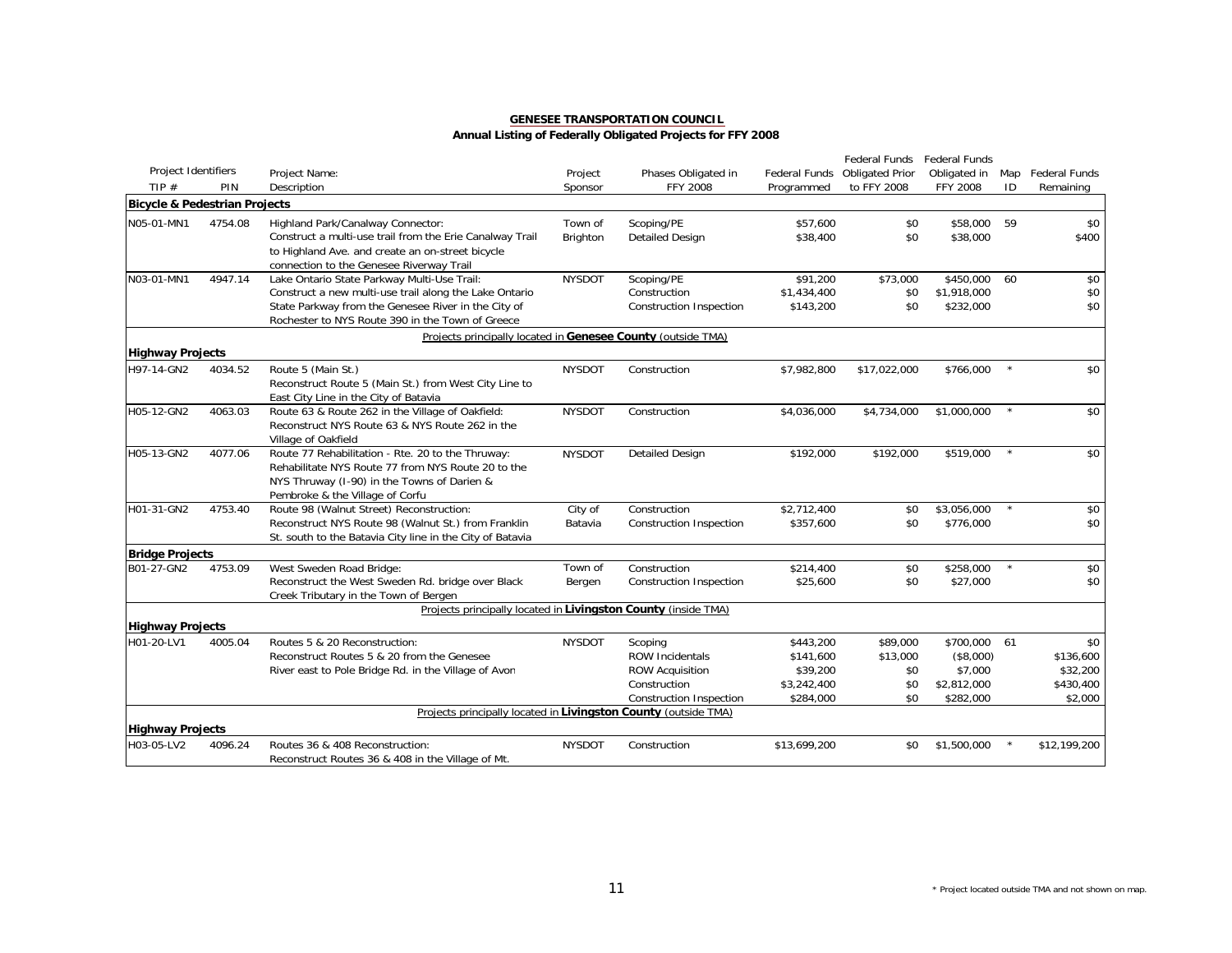|                                          |         |                                                                 |               |                                |               | Federal Funds          | Federal Funds   |         |                   |
|------------------------------------------|---------|-----------------------------------------------------------------|---------------|--------------------------------|---------------|------------------------|-----------------|---------|-------------------|
| Project Identifiers                      |         | Project Name:                                                   | Project       | Phases Obligated in            | Federal Funds | <b>Obligated Prior</b> | Obligated in    |         | Map Federal Funds |
| TIP#                                     | PIN     | Description                                                     | Sponsor       | <b>FFY 2008</b>                | Programmed    | to FFY 2008            | <b>FFY 2008</b> | ID      | Remaining         |
| <b>Bicycle &amp; Pedestrian Projects</b> |         |                                                                 |               |                                |               |                        |                 |         |                   |
| N05-01-MN1                               | 4754.08 | Highland Park/Canalway Connector:                               | Town of       | Scoping/PE                     | \$57,600      | \$0                    | \$58,000        | 59      | \$0               |
|                                          |         | Construct a multi-use trail from the Erie Canalway Trail        | Brighton      | <b>Detailed Design</b>         | \$38,400      | \$0                    | \$38,000        |         | \$400             |
|                                          |         | to Highland Ave. and create an on-street bicycle                |               |                                |               |                        |                 |         |                   |
|                                          |         | connection to the Genesee Riverway Trail                        |               |                                |               |                        |                 |         |                   |
| N03-01-MN1                               | 4947.14 | Lake Ontario State Parkway Multi-Use Trail:                     | <b>NYSDOT</b> | Scoping/PE                     | \$91.200      | \$73,000               | \$450,000       | 60      | \$0               |
|                                          |         | Construct a new multi-use trail along the Lake Ontario          |               | Construction                   | \$1,434,400   | \$0                    | \$1,918,000     |         | \$0               |
|                                          |         | State Parkway from the Genesee River in the City of             |               | <b>Construction Inspection</b> | \$143,200     | \$0                    | \$232,000       |         | \$0               |
|                                          |         | Rochester to NYS Route 390 in the Town of Greece                |               |                                |               |                        |                 |         |                   |
|                                          |         | Projects principally located in Genesee County (outside TMA)    |               |                                |               |                        |                 |         |                   |
| <b>Highway Projects</b>                  |         |                                                                 |               |                                |               |                        |                 |         |                   |
| H97-14-GN2                               | 4034.52 | Route 5 (Main St.)                                              | <b>NYSDOT</b> | Construction                   | \$7,982,800   | \$17,022,000           | \$766,000       | $\star$ | \$0               |
|                                          |         | Reconstruct Route 5 (Main St.) from West City Line to           |               |                                |               |                        |                 |         |                   |
|                                          |         | East City Line in the City of Batavia                           |               |                                |               |                        |                 |         |                   |
| H05-12-GN2                               | 4063.03 | Route 63 & Route 262 in the Village of Oakfield:                | <b>NYSDOT</b> | Construction                   | \$4,036,000   | \$4,734,000            | \$1,000,000     | $\star$ | \$0               |
|                                          |         | Reconstruct NYS Route 63 & NYS Route 262 in the                 |               |                                |               |                        |                 |         |                   |
|                                          |         | Village of Oakfield                                             |               |                                |               |                        |                 |         |                   |
| H05-13-GN2                               | 4077.06 | Route 77 Rehabilitation - Rte. 20 to the Thruway:               | <b>NYSDOT</b> | <b>Detailed Design</b>         | \$192,000     | \$192,000              | \$519,000       | $\star$ | \$0               |
|                                          |         | Rehabilitate NYS Route 77 from NYS Route 20 to the              |               |                                |               |                        |                 |         |                   |
|                                          |         | NYS Thruway (I-90) in the Towns of Darien &                     |               |                                |               |                        |                 |         |                   |
|                                          |         | Pembroke & the Village of Corfu                                 |               |                                |               |                        |                 |         |                   |
| H01-31-GN2                               | 4753.40 | Route 98 (Walnut Street) Reconstruction:                        | City of       | Construction                   | \$2,712,400   | \$0                    | \$3,056,000     | $\star$ | \$0               |
|                                          |         | Reconstruct NYS Route 98 (Walnut St.) from Franklin             | Batavia       | <b>Construction Inspection</b> | \$357,600     | \$0                    | \$776,000       |         | \$0               |
|                                          |         | St. south to the Batavia City line in the City of Batavia       |               |                                |               |                        |                 |         |                   |
| <b>Bridge Projects</b>                   |         |                                                                 |               |                                |               |                        |                 |         |                   |
| B01-27-GN2                               | 4753.09 | West Sweden Road Bridge:                                        | Town of       | Construction                   | \$214,400     | \$0                    | \$258,000       |         | \$0               |
|                                          |         | Reconstruct the West Sweden Rd. bridge over Black               | Bergen        | <b>Construction Inspection</b> | \$25,600      | \$0                    | \$27,000        |         | \$0               |
|                                          |         | Creek Tributary in the Town of Bergen                           |               |                                |               |                        |                 |         |                   |
|                                          |         | Projects principally located in Livingston County (inside TMA)  |               |                                |               |                        |                 |         |                   |
| <b>Highway Projects</b>                  |         |                                                                 |               |                                |               |                        |                 |         |                   |
| H01-20-LV1                               | 4005.04 | Routes 5 & 20 Reconstruction:                                   | <b>NYSDOT</b> | Scoping                        | \$443,200     | \$89,000               | \$700,000       | 61      | \$0               |
|                                          |         | Reconstruct Routes 5 & 20 from the Genesee                      |               | <b>ROW Incidentals</b>         | \$141,600     | \$13,000               | (\$8,000)       |         | \$136,600         |
|                                          |         | River east to Pole Bridge Rd. in the Village of Avon            |               | <b>ROW Acquisition</b>         | \$39,200      | \$0                    | \$7,000         |         | \$32,200          |
|                                          |         |                                                                 |               | Construction                   | \$3,242,400   | \$0                    | \$2,812,000     |         | \$430,400         |
|                                          |         |                                                                 |               | <b>Construction Inspection</b> | \$284,000     | \$0                    | \$282,000       |         | \$2,000           |
|                                          |         | Projects principally located in Livingston County (outside TMA) |               |                                |               |                        |                 |         |                   |
| <b>Highway Projects</b>                  |         |                                                                 |               |                                |               |                        |                 |         |                   |
| H03-05-LV2                               | 4096.24 | Routes 36 & 408 Reconstruction:                                 | <b>NYSDOT</b> | Construction                   | \$13,699,200  | \$0                    | \$1,500,000     | $\star$ | \$12,199,200      |
|                                          |         | Reconstruct Routes 36 & 408 in the Village of Mt.               |               |                                |               |                        |                 |         |                   |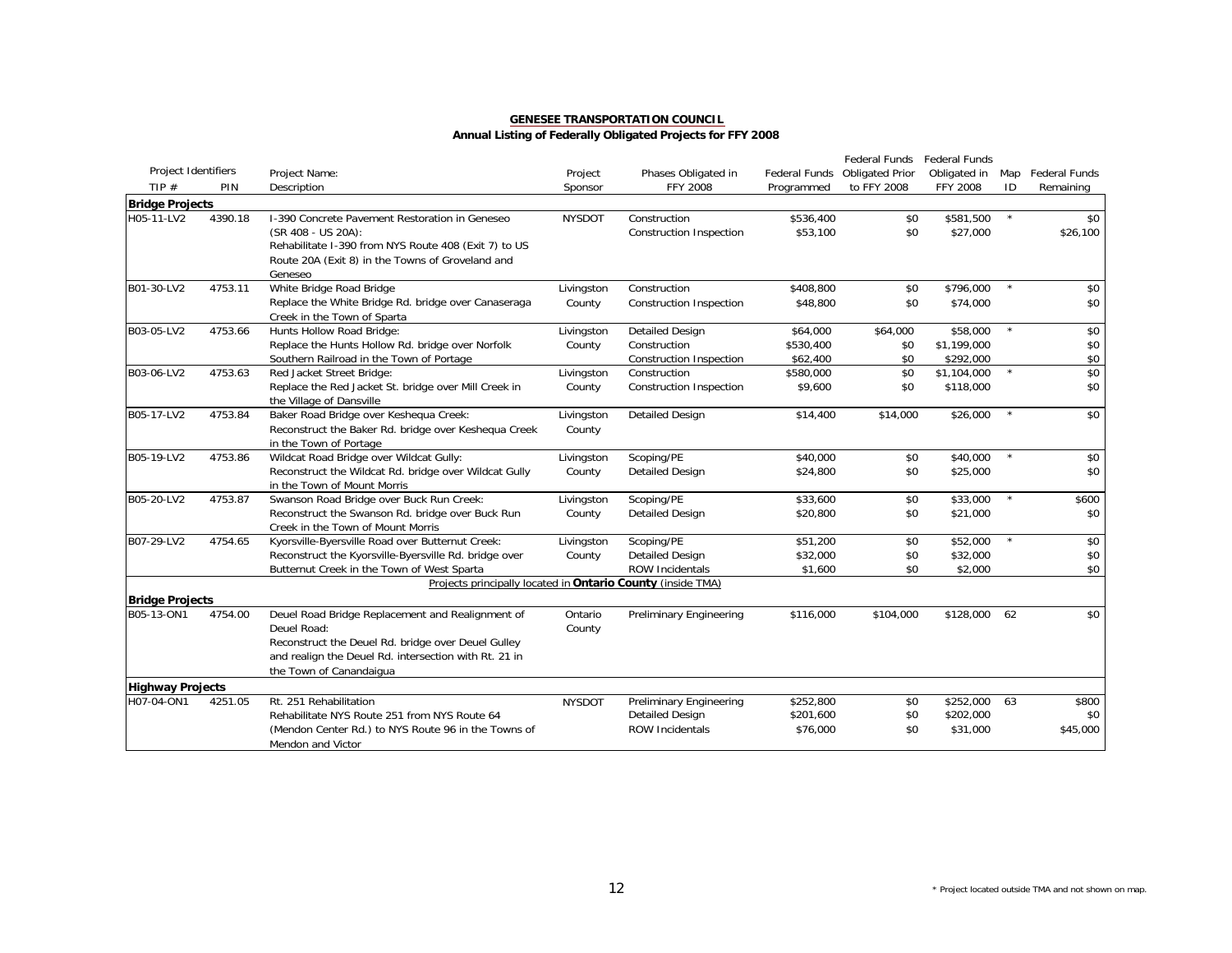|                         |         |                                                                                                                                                                                                           |                      |                                                |                       | Federal Funds          | Federal Funds         |         |                      |
|-------------------------|---------|-----------------------------------------------------------------------------------------------------------------------------------------------------------------------------------------------------------|----------------------|------------------------------------------------|-----------------------|------------------------|-----------------------|---------|----------------------|
| Project Identifiers     |         | Project Name:                                                                                                                                                                                             | Project              | Phases Obligated in                            | Federal Funds         | <b>Obligated Prior</b> | Obligated in          | Map     | <b>Federal Funds</b> |
| TIP $#$                 | PIN     | Description                                                                                                                                                                                               | Sponsor              | FFY 2008                                       | Programmed            | to FFY 2008            | <b>FFY 2008</b>       | ID      | Remaining            |
| <b>Bridge Projects</b>  |         |                                                                                                                                                                                                           |                      |                                                |                       |                        |                       |         |                      |
| H05-11-LV2              | 4390.18 | I-390 Concrete Pavement Restoration in Geneseo<br>(SR 408 - US 20A):<br>Rehabilitate I-390 from NYS Route 408 (Exit 7) to US                                                                              | <b>NYSDOT</b>        | Construction<br><b>Construction Inspection</b> | \$536,400<br>\$53,100 | \$0<br>\$0             | \$581,500<br>\$27,000 | $\star$ | \$0<br>\$26,100      |
|                         |         | Route 20A (Exit 8) in the Towns of Groveland and<br>Geneseo                                                                                                                                               |                      |                                                |                       |                        |                       |         |                      |
| B01-30-LV2              | 4753.11 | White Bridge Road Bridge                                                                                                                                                                                  | Livingston           | Construction                                   | \$408,800             | \$0                    | \$796,000             | $\star$ | \$0                  |
|                         |         | Replace the White Bridge Rd. bridge over Canaseraga<br>Creek in the Town of Sparta                                                                                                                        | County               | <b>Construction Inspection</b>                 | \$48,800              | \$0                    | \$74,000              |         | \$0                  |
| B03-05-LV2              | 4753.66 | Hunts Hollow Road Bridge:                                                                                                                                                                                 | Livingston           | <b>Detailed Design</b>                         | \$64,000              | \$64,000               | \$58,000              | $\star$ | \$0                  |
|                         |         | Replace the Hunts Hollow Rd. bridge over Norfolk                                                                                                                                                          | County               | Construction                                   | \$530,400             | \$0                    | \$1,199,000           |         | \$0                  |
|                         |         | Southern Railroad in the Town of Portage                                                                                                                                                                  |                      | <b>Construction Inspection</b>                 | \$62,400              | \$0                    | \$292,000             |         | \$0                  |
| B03-06-LV2              | 4753.63 | Red Jacket Street Bridge:                                                                                                                                                                                 | Livingston           | Construction                                   | \$580,000             | \$0                    | \$1,104,000           | $\star$ | \$0                  |
|                         |         | Replace the Red Jacket St. bridge over Mill Creek in<br>the Village of Dansville                                                                                                                          | County               | <b>Construction Inspection</b>                 | \$9,600               | \$0                    | \$118,000             |         | \$0                  |
| B05-17-LV2              | 4753.84 | Baker Road Bridge over Keshequa Creek:<br>Reconstruct the Baker Rd. bridge over Keshequa Creek<br>in the Town of Portage                                                                                  | Livingston<br>County | <b>Detailed Design</b>                         | \$14,400              | \$14,000               | \$26,000              | $\star$ | $\overline{50}$      |
| B05-19-LV2              | 4753.86 | Wildcat Road Bridge over Wildcat Gully:                                                                                                                                                                   | Livingston           | Scoping/PE                                     | \$40,000              | \$0                    | \$40,000              | $\star$ | \$0                  |
|                         |         | Reconstruct the Wildcat Rd. bridge over Wildcat Gully<br>in the Town of Mount Morris                                                                                                                      | County               | <b>Detailed Design</b>                         | \$24,800              | \$0                    | \$25,000              |         | \$0                  |
| B05-20-LV2              | 4753.87 | Swanson Road Bridge over Buck Run Creek:                                                                                                                                                                  | Livingston           | Scoping/PE                                     | \$33,600              | \$0                    | \$33,000              | $\star$ | \$600                |
|                         |         | Reconstruct the Swanson Rd. bridge over Buck Run<br>Creek in the Town of Mount Morris                                                                                                                     | County               | <b>Detailed Design</b>                         | \$20,800              | \$0                    | \$21,000              |         | \$0                  |
| B07-29-LV2              | 4754.65 | Kyorsville-Byersville Road over Butternut Creek:                                                                                                                                                          | Livingston           | Scoping/PE                                     | \$51,200              | \$0                    | \$52,000              | $\star$ | \$0                  |
|                         |         | Reconstruct the Kyorsville-Byersville Rd. bridge over                                                                                                                                                     | County               | <b>Detailed Design</b>                         | \$32,000              | \$0                    | \$32,000              |         | \$0                  |
|                         |         | Butternut Creek in the Town of West Sparta                                                                                                                                                                |                      | ROW Incidentals                                | \$1,600               | \$0                    | \$2,000               |         | \$0                  |
|                         |         | Projects principally located in Ontario County (inside TMA)                                                                                                                                               |                      |                                                |                       |                        |                       |         |                      |
| <b>Bridge Projects</b>  |         |                                                                                                                                                                                                           |                      |                                                |                       |                        |                       |         |                      |
| B05-13-ON1              | 4754.00 | Deuel Road Bridge Replacement and Realignment of<br>Deuel Road:<br>Reconstruct the Deuel Rd. bridge over Deuel Gulley<br>and realign the Deuel Rd. intersection with Rt. 21 in<br>the Town of Canandaigua | Ontario<br>County    | <b>Preliminary Engineering</b>                 | \$116,000             | \$104,000              | \$128,000             | 62      | \$0                  |
| <b>Highway Projects</b> |         |                                                                                                                                                                                                           |                      |                                                |                       |                        |                       |         |                      |
| H07-04-ON1              | 4251.05 | Rt. 251 Rehabilitation                                                                                                                                                                                    | <b>NYSDOT</b>        | <b>Preliminary Engineering</b>                 | \$252,800             | \$0                    | \$252,000             | 63      | \$800                |
|                         |         | Rehabilitate NYS Route 251 from NYS Route 64                                                                                                                                                              |                      | <b>Detailed Design</b>                         | \$201,600             | \$0                    | \$202,000             |         | \$0                  |
|                         |         | (Mendon Center Rd.) to NYS Route 96 in the Towns of<br>Mendon and Victor                                                                                                                                  |                      | <b>ROW Incidentals</b>                         | \$76,000              | \$0                    | \$31,000              |         | \$45,000             |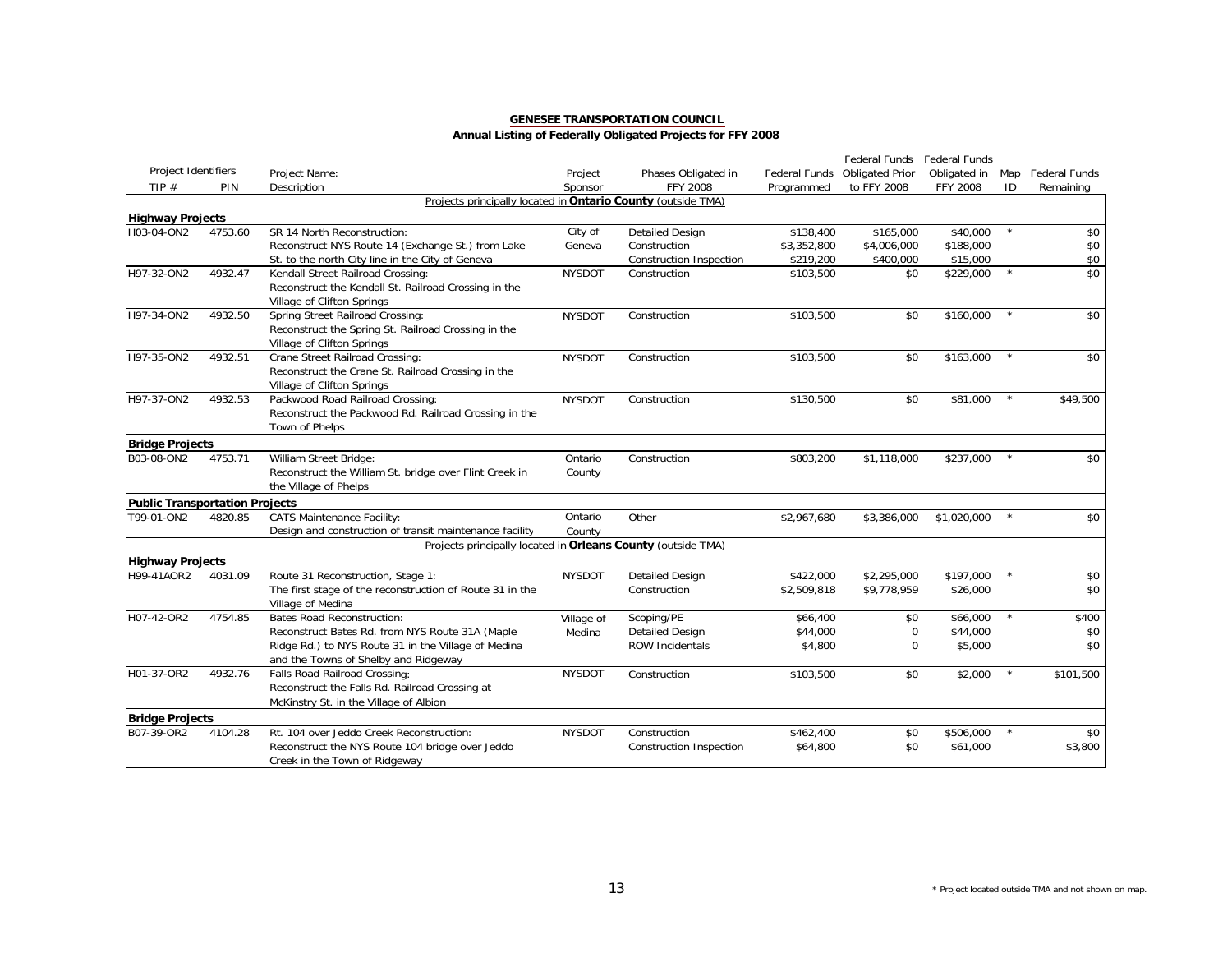|                                       |         |                                                              |               |                         |               | Federal Funds          | Federal Funds   |         |                      |
|---------------------------------------|---------|--------------------------------------------------------------|---------------|-------------------------|---------------|------------------------|-----------------|---------|----------------------|
| Project Identifiers                   |         | Project Name:                                                | Project       | Phases Obligated in     | Federal Funds | <b>Obligated Prior</b> | Obligated in    | Map     | <b>Federal Funds</b> |
| TIP $#$                               | PIN     | Description                                                  | Sponsor       | <b>FFY 2008</b>         | Programmed    | to FFY 2008            | <b>FFY 2008</b> | ID      | Remaining            |
|                                       |         | Projects principally located in Ontario County (outside TMA) |               |                         |               |                        |                 |         |                      |
| <b>Highway Projects</b>               |         |                                                              |               |                         |               |                        |                 |         |                      |
| H03-04-ON2                            | 4753.60 | SR 14 North Reconstruction:                                  | City of       | <b>Detailed Design</b>  | \$138,400     | \$165,000              | \$40,000        | $\star$ | \$0                  |
|                                       |         | Reconstruct NYS Route 14 (Exchange St.) from Lake            | Geneva        | Construction            | \$3,352,800   | \$4,006,000            | \$188,000       |         | \$0                  |
|                                       |         | St. to the north City line in the City of Geneva             |               | Construction Inspection | \$219,200     | \$400,000              | \$15,000        |         | \$0                  |
| H97-32-ON2                            | 4932.47 | Kendall Street Railroad Crossing:                            | <b>NYSDOT</b> | Construction            | \$103.500     | \$0                    | \$229,000       | $\star$ | $\overline{50}$      |
|                                       |         | Reconstruct the Kendall St. Railroad Crossing in the         |               |                         |               |                        |                 |         |                      |
|                                       |         | Village of Clifton Springs                                   |               |                         |               |                        |                 |         |                      |
| H97-34-ON2                            | 4932.50 | Spring Street Railroad Crossing:                             | <b>NYSDOT</b> | Construction            | \$103,500     | \$0                    | \$160,000       | $\star$ | \$0                  |
|                                       |         | Reconstruct the Spring St. Railroad Crossing in the          |               |                         |               |                        |                 |         |                      |
|                                       |         | Village of Clifton Springs                                   |               |                         |               |                        |                 |         |                      |
| H97-35-ON2                            | 4932.51 | Crane Street Railroad Crossing:                              | <b>NYSDOT</b> | Construction            | \$103,500     | \$0                    | \$163,000       | $\star$ | \$0                  |
|                                       |         | Reconstruct the Crane St. Railroad Crossing in the           |               |                         |               |                        |                 |         |                      |
|                                       |         | Village of Clifton Springs                                   |               |                         |               |                        |                 |         |                      |
| H97-37-ON2                            | 4932.53 | Packwood Road Railroad Crossing:                             | <b>NYSDOT</b> | Construction            | \$130,500     | \$0                    | \$81,000        | $\star$ | \$49,500             |
|                                       |         | Reconstruct the Packwood Rd. Railroad Crossing in the        |               |                         |               |                        |                 |         |                      |
|                                       |         | Town of Phelps                                               |               |                         |               |                        |                 |         |                      |
| <b>Bridge Projects</b>                |         |                                                              |               |                         |               |                        |                 |         |                      |
| B03-08-ON2                            | 4753.71 | William Street Bridge:                                       | Ontario       | Construction            | \$803,200     | \$1,118,000            | \$237,000       |         | \$0                  |
|                                       |         | Reconstruct the William St. bridge over Flint Creek in       | County        |                         |               |                        |                 |         |                      |
|                                       |         | the Village of Phelps                                        |               |                         |               |                        |                 |         |                      |
| <b>Public Transportation Projects</b> |         |                                                              |               |                         |               |                        |                 |         |                      |
| T99-01-ON2                            | 4820.85 | <b>CATS Maintenance Facility:</b>                            | Ontario       | Other                   | \$2,967,680   | \$3,386,000            | \$1,020,000     |         | \$0                  |
|                                       |         | Design and construction of transit maintenance facility      | County        |                         |               |                        |                 |         |                      |
|                                       |         | Projects principally located in Orleans County (outside TMA) |               |                         |               |                        |                 |         |                      |
|                                       |         |                                                              |               |                         |               |                        |                 |         |                      |
| <b>Highway Projects</b>               |         |                                                              |               |                         |               |                        |                 |         |                      |
| H99-41AOR2                            | 4031.09 | Route 31 Reconstruction, Stage 1:                            | <b>NYSDOT</b> | Detailed Design         | \$422,000     | \$2,295,000            | \$197.000       | $\star$ | \$0                  |
|                                       |         | The first stage of the reconstruction of Route 31 in the     |               | Construction            | \$2,509,818   | \$9,778,959            | \$26,000        |         | \$0                  |
|                                       |         | Village of Medina                                            |               |                         |               |                        |                 |         |                      |
| H07-42-OR2                            | 4754.85 | <b>Bates Road Reconstruction:</b>                            | Village of    | Scoping/PE              | \$66,400      | \$0                    | \$66,000        | $\star$ | \$400                |
|                                       |         | Reconstruct Bates Rd. from NYS Route 31A (Maple              | Medina        | <b>Detailed Design</b>  | \$44,000      | $\mathbf 0$            | \$44,000        |         | \$0                  |
|                                       |         | Ridge Rd.) to NYS Route 31 in the Village of Medina          |               | <b>ROW Incidentals</b>  | \$4,800       | $\mathbf 0$            | \$5,000         |         | \$0                  |
|                                       |         | and the Towns of Shelby and Ridgeway                         |               |                         |               |                        |                 |         |                      |
| H01-37-OR2                            | 4932.76 | Falls Road Railroad Crossing:                                | <b>NYSDOT</b> | Construction            | \$103,500     | \$0                    | \$2,000         | $\star$ | \$101,500            |
|                                       |         | Reconstruct the Falls Rd. Railroad Crossing at               |               |                         |               |                        |                 |         |                      |
|                                       |         | McKinstry St. in the Village of Albion                       |               |                         |               |                        |                 |         |                      |
| <b>Bridge Projects</b>                |         |                                                              |               |                         |               |                        |                 |         |                      |
| B07-39-OR2                            | 4104.28 | Rt. 104 over Jeddo Creek Reconstruction:                     | <b>NYSDOT</b> | Construction            | \$462,400     | \$0                    | \$506,000       | $\star$ | \$0                  |
|                                       |         | Reconstruct the NYS Route 104 bridge over Jeddo              |               | Construction Inspection | \$64,800      | \$0                    | \$61,000        |         | \$3,800              |
|                                       |         | Creek in the Town of Ridgeway                                |               |                         |               |                        |                 |         |                      |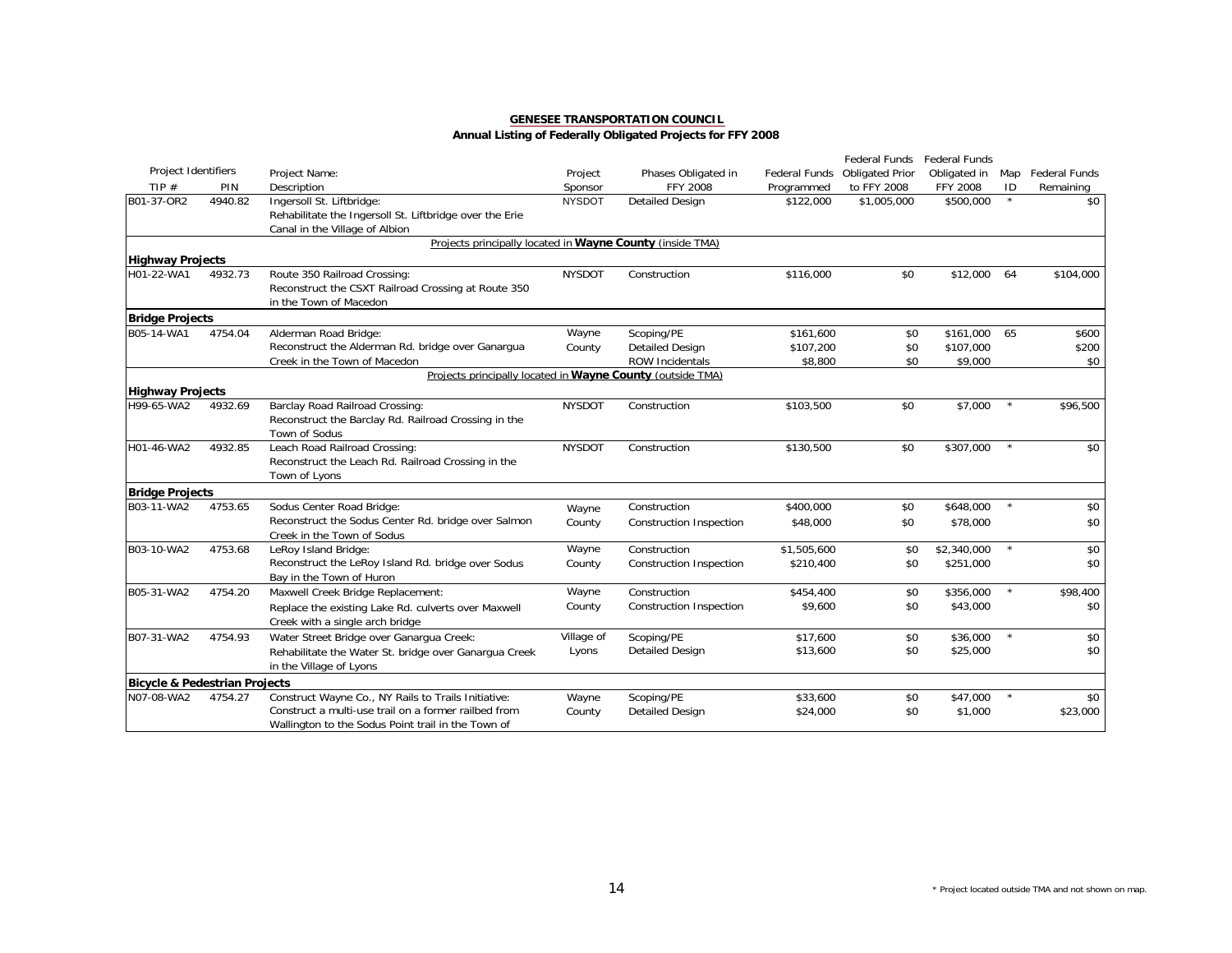|                                          |         |                                                            |               |                                |               | Federal Funds          | Federal Funds |         |                      |
|------------------------------------------|---------|------------------------------------------------------------|---------------|--------------------------------|---------------|------------------------|---------------|---------|----------------------|
| Project Identifiers                      |         | Project Name:                                              | Project       | Phases Obligated in            | Federal Funds | <b>Obligated Prior</b> | Obligated in  | Map     | <b>Federal Funds</b> |
| TIP $#$                                  | PIN     | Description                                                | Sponsor       | <b>FFY 2008</b>                | Programmed    | to FFY 2008            | FFY 2008      | ID      | Remaining            |
| B01-37-OR2                               | 4940.82 | Ingersoll St. Liftbridge:                                  | <b>NYSDOT</b> | <b>Detailed Design</b>         | \$122,000     | \$1,005,000            | \$500,000     | $\star$ | \$0                  |
|                                          |         | Rehabilitate the Ingersoll St. Liftbridge over the Erie    |               |                                |               |                        |               |         |                      |
|                                          |         | Canal in the Village of Albion                             |               |                                |               |                        |               |         |                      |
|                                          |         | Projects principally located in Wayne County (inside TMA)  |               |                                |               |                        |               |         |                      |
| <b>Highway Projects</b>                  |         |                                                            |               |                                |               |                        |               |         |                      |
| H01-22-WA1                               | 4932.73 | Route 350 Railroad Crossing:                               | <b>NYSDOT</b> | Construction                   | \$116,000     | \$0                    | \$12,000      | 64      | \$104,000            |
|                                          |         | Reconstruct the CSXT Railroad Crossing at Route 350        |               |                                |               |                        |               |         |                      |
|                                          |         | in the Town of Macedon                                     |               |                                |               |                        |               |         |                      |
| <b>Bridge Projects</b>                   |         |                                                            |               |                                |               |                        |               |         |                      |
| B05-14-WA1                               | 4754.04 | Alderman Road Bridge:                                      | Wayne         | Scoping/PE                     | \$161,600     | \$0                    | \$161,000     | 65      | \$600                |
|                                          |         | Reconstruct the Alderman Rd. bridge over Ganarqua          | County        | <b>Detailed Design</b>         | \$107,200     | \$0                    | \$107,000     |         | \$200                |
|                                          |         | Creek in the Town of Macedon                               |               | <b>ROW Incidentals</b>         | \$8,800       | \$0                    | \$9,000       |         | \$0                  |
|                                          |         | Projects principally located in Wayne County (outside TMA) |               |                                |               |                        |               |         |                      |
| <b>Highway Projects</b>                  |         |                                                            |               |                                |               |                        |               |         |                      |
| H99-65-WA2                               | 4932.69 | <b>Barclay Road Railroad Crossing:</b>                     | <b>NYSDOT</b> | Construction                   | \$103,500     | \$0                    | \$7,000       | $\star$ | \$96,500             |
|                                          |         | Reconstruct the Barclay Rd. Railroad Crossing in the       |               |                                |               |                        |               |         |                      |
|                                          |         | Town of Sodus                                              |               |                                |               |                        |               |         |                      |
| H01-46-WA2                               | 4932.85 | Leach Road Railroad Crossing:                              | <b>NYSDOT</b> | Construction                   | \$130,500     | \$0                    | \$307,000     | $\star$ | \$0                  |
|                                          |         | Reconstruct the Leach Rd. Railroad Crossing in the         |               |                                |               |                        |               |         |                      |
|                                          |         | Town of Lyons                                              |               |                                |               |                        |               |         |                      |
| <b>Bridge Projects</b>                   |         |                                                            |               |                                |               |                        |               |         |                      |
| B03-11-WA2                               | 4753.65 | Sodus Center Road Bridge:                                  | Wayne         | Construction                   | \$400,000     | \$0                    | \$648,000     | $\star$ | \$0                  |
|                                          |         | Reconstruct the Sodus Center Rd. bridge over Salmon        | County        | <b>Construction Inspection</b> | \$48,000      | \$0                    | \$78,000      |         | \$0                  |
|                                          |         | Creek in the Town of Sodus                                 |               |                                |               |                        |               |         |                      |
| B03-10-WA2                               | 4753.68 | LeRoy Island Bridge:                                       | Wayne         | Construction                   | \$1,505,600   | \$0                    | \$2,340,000   | $\star$ | \$0                  |
|                                          |         | Reconstruct the LeRoy Island Rd. bridge over Sodus         | County        | Construction Inspection        | \$210,400     | \$0                    | \$251,000     |         | \$0                  |
|                                          |         | Bay in the Town of Huron                                   |               |                                |               |                        |               |         |                      |
| B05-31-WA2                               | 4754.20 | Maxwell Creek Bridge Replacement:                          | Wayne         | Construction                   | \$454,400     | \$0                    | \$356,000     | $\star$ | \$98,400             |
|                                          |         | Replace the existing Lake Rd. culverts over Maxwell        | County        | Construction Inspection        | \$9,600       | \$0                    | \$43,000      |         | \$0                  |
|                                          |         | Creek with a single arch bridge                            |               |                                |               |                        |               |         |                      |
| B07-31-WA2                               | 4754.93 | Water Street Bridge over Ganarqua Creek:                   | Village of    | Scoping/PE                     | \$17,600      | \$0                    | \$36,000      | $\star$ | \$0                  |
|                                          |         | Rehabilitate the Water St. bridge over Ganargua Creek      | Lyons         | <b>Detailed Design</b>         | \$13,600      | \$0                    | \$25,000      |         | \$0                  |
|                                          |         |                                                            |               |                                |               |                        |               |         |                      |
|                                          |         | in the Village of Lyons                                    |               |                                |               |                        |               |         |                      |
| <b>Bicycle &amp; Pedestrian Projects</b> |         |                                                            |               |                                |               |                        |               |         |                      |
| N07-08-WA2                               | 4754.27 | Construct Wayne Co., NY Rails to Trails Initiative:        | Wayne         | Scoping/PE                     | \$33,600      | \$0                    | \$47,000      | $\star$ | \$0                  |
|                                          |         | Construct a multi-use trail on a former railbed from       | County        | <b>Detailed Design</b>         | \$24,000      | \$0                    | \$1,000       |         | \$23,000             |
|                                          |         | Wallington to the Sodus Point trail in the Town of         |               |                                |               |                        |               |         |                      |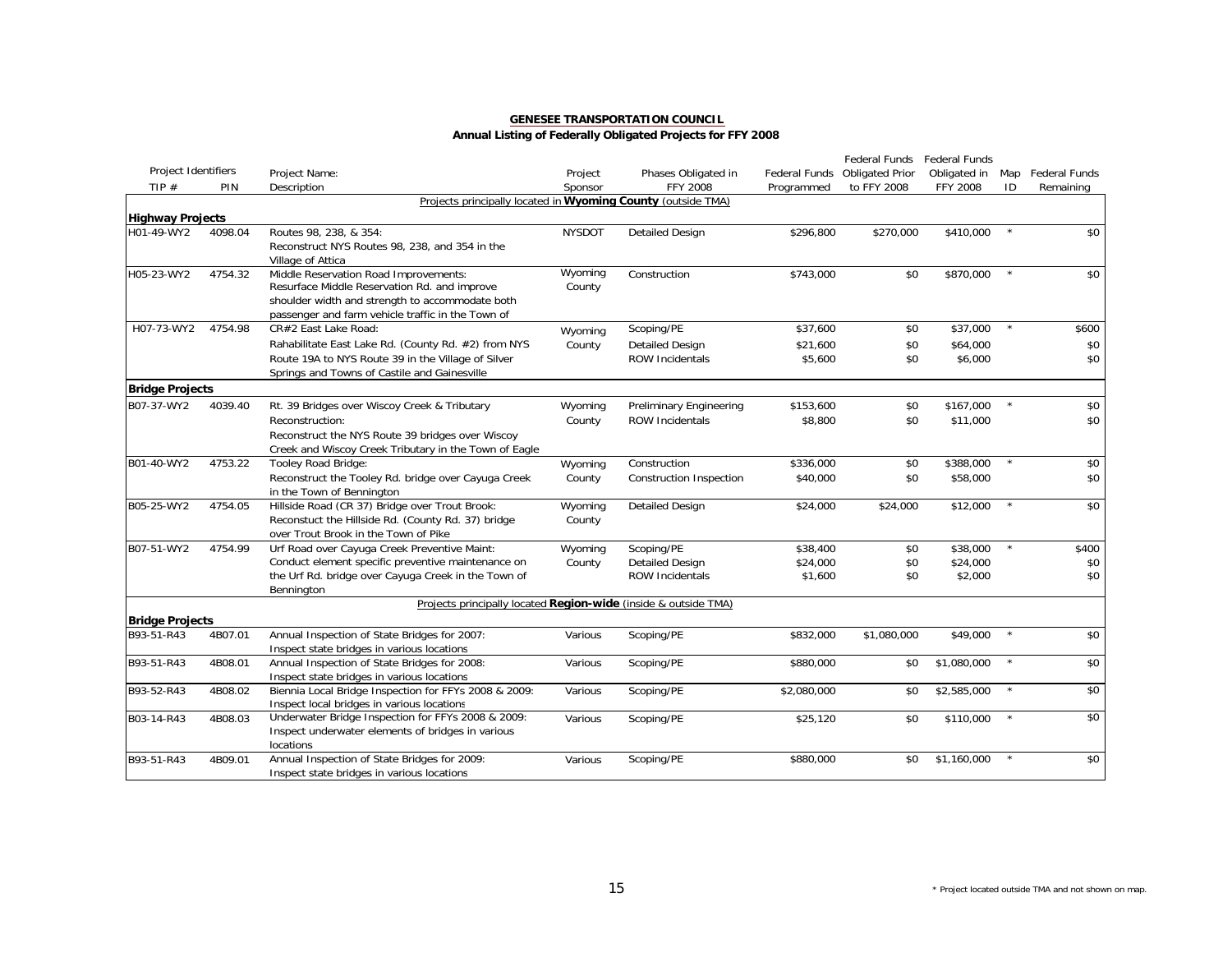|                         |         |                                                                 |               |                                |               | Federal Funds          | Federal Funds   |         |                   |
|-------------------------|---------|-----------------------------------------------------------------|---------------|--------------------------------|---------------|------------------------|-----------------|---------|-------------------|
| Project Identifiers     |         | Project Name:                                                   | Project       | Phases Obligated in            | Federal Funds | <b>Obligated Prior</b> | Obligated in    |         | Map Federal Funds |
| TIP $#$                 | PIN     | Description                                                     | Sponsor       | <b>FFY 2008</b>                | Programmed    | to FFY 2008            | <b>FFY 2008</b> | ID      | Remaining         |
|                         |         | Projects principally located in Wyoming County (outside TMA)    |               |                                |               |                        |                 |         |                   |
| <b>Highway Projects</b> |         |                                                                 |               |                                |               |                        |                 |         |                   |
| H01-49-WY2              | 4098.04 | Routes 98, 238, & 354:                                          | <b>NYSDOT</b> | <b>Detailed Design</b>         | \$296,800     | \$270,000              | \$410,000       | $\star$ | \$0               |
|                         |         | Reconstruct NYS Routes 98, 238, and 354 in the                  |               |                                |               |                        |                 |         |                   |
|                         |         | Village of Attica                                               |               |                                |               |                        |                 |         |                   |
| H05-23-WY2              | 4754.32 | Middle Reservation Road Improvements:                           | Wyoming       | Construction                   | \$743,000     | \$0                    | \$870,000       | $\star$ | \$0               |
|                         |         | Resurface Middle Reservation Rd. and improve                    | County        |                                |               |                        |                 |         |                   |
|                         |         | shoulder width and strength to accommodate both                 |               |                                |               |                        |                 |         |                   |
|                         |         | passenger and farm vehicle traffic in the Town of               |               |                                |               |                        |                 | $\star$ |                   |
| H07-73-WY2              | 4754.98 | CR#2 East Lake Road:                                            | Wyoming       | Scoping/PE                     | \$37,600      | \$0                    | \$37,000        |         | \$600             |
|                         |         | Rahabilitate East Lake Rd. (County Rd. #2) from NYS             | County        | <b>Detailed Design</b>         | \$21.600      | \$0                    | \$64,000        |         | \$0               |
|                         |         | Route 19A to NYS Route 39 in the Village of Silver              |               | <b>ROW Incidentals</b>         | \$5,600       | \$0                    | \$6,000         |         | \$0               |
|                         |         | Springs and Towns of Castile and Gainesville                    |               |                                |               |                        |                 |         |                   |
| <b>Bridge Projects</b>  |         |                                                                 |               |                                |               |                        |                 |         |                   |
| B07-37-WY2              | 4039.40 | Rt. 39 Bridges over Wiscoy Creek & Tributary                    | Wyoming       | Preliminary Engineering        | \$153,600     | \$0                    | \$167,000       | $\star$ | \$0               |
|                         |         | Reconstruction:                                                 | County        | <b>ROW Incidentals</b>         | \$8,800       | \$0                    | \$11,000        |         | \$0               |
|                         |         | Reconstruct the NYS Route 39 bridges over Wiscoy                |               |                                |               |                        |                 |         |                   |
|                         |         | Creek and Wiscoy Creek Tributary in the Town of Eagle           |               |                                |               |                        |                 |         |                   |
| B01-40-WY2              | 4753.22 | Tooley Road Bridge:                                             | Wyoming       | Construction                   | \$336,000     | \$0                    | \$388,000       | $\star$ | \$0               |
|                         |         | Reconstruct the Tooley Rd. bridge over Cayuga Creek             | County        | <b>Construction Inspection</b> | \$40,000      | \$0                    | \$58,000        |         | \$0               |
|                         |         | in the Town of Bennington                                       |               |                                |               |                        |                 |         |                   |
| B05-25-WY2              | 4754.05 | Hillside Road (CR 37) Bridge over Trout Brook:                  | Wyoming       | <b>Detailed Design</b>         | \$24,000      | \$24,000               | \$12,000        | $\star$ | \$0               |
|                         |         | Reconstuct the Hillside Rd. (County Rd. 37) bridge              | County        |                                |               |                        |                 |         |                   |
|                         |         | over Trout Brook in the Town of Pike                            |               |                                |               |                        |                 |         |                   |
| B07-51-WY2              | 4754.99 | Urf Road over Cayuga Creek Preventive Maint:                    | Wyoming       | Scoping/PE                     | \$38,400      | \$0                    | \$38,000        | $\star$ | \$400             |
|                         |         | Conduct element specific preventive maintenance on              | County        | <b>Detailed Design</b>         | \$24,000      | \$0                    | \$24,000        |         | \$0               |
|                         |         | the Urf Rd. bridge over Cayuga Creek in the Town of             |               | <b>ROW Incidentals</b>         | \$1,600       | \$0                    | \$2,000         |         | \$0               |
|                         |         | Bennington                                                      |               |                                |               |                        |                 |         |                   |
|                         |         | Projects principally located Region-wide (inside & outside TMA) |               |                                |               |                        |                 |         |                   |
| <b>Bridge Projects</b>  |         |                                                                 |               |                                |               |                        |                 |         |                   |
| B93-51-R43              | 4B07.01 | Annual Inspection of State Bridges for 2007:                    | Various       | Scoping/PE                     | \$832,000     | \$1,080,000            | \$49,000        | $\star$ | \$0               |
|                         |         | Inspect state bridges in various locations                      |               |                                |               |                        |                 |         |                   |
| B93-51-R43              | 4B08.01 | Annual Inspection of State Bridges for 2008:                    | Various       | Scoping/PE                     | \$880,000     | \$0                    | \$1,080,000     | $\star$ | \$0               |
|                         |         | Inspect state bridges in various locations                      |               |                                |               |                        |                 |         |                   |
| B93-52-R43              | 4B08.02 | Biennia Local Bridge Inspection for FFYs 2008 & 2009:           | Various       | Scoping/PE                     | \$2,080,000   | \$0                    | \$2,585,000     | $\star$ | $\sqrt{50}$       |
|                         |         | Inspect local bridges in various locations                      |               |                                |               |                        |                 |         |                   |
| B03-14-R43              | 4B08.03 | Underwater Bridge Inspection for FFYs 2008 & 2009:              | Various       | Scoping/PE                     | \$25,120      | \$0                    | \$110,000       | $\star$ | $\sqrt{50}$       |
|                         |         | Inspect underwater elements of bridges in various               |               |                                |               |                        |                 |         |                   |
|                         |         | locations                                                       |               |                                |               |                        |                 |         |                   |
| B93-51-R43              | 4B09.01 | Annual Inspection of State Bridges for 2009:                    | Various       | Scoping/PE                     | \$880,000     | \$0                    | \$1,160,000     |         | \$0               |
|                         |         | Inspect state bridges in various locations                      |               |                                |               |                        |                 |         |                   |